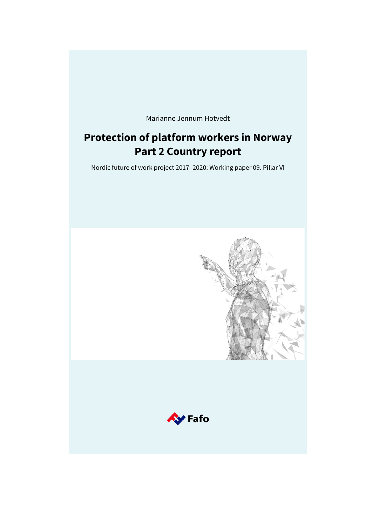Marianne Jennum Hotvedt

# **Protection of platform workers in Norway Part 2 Country report**

Nordic future of work project 2017–2020: Working paper 09. Pillar VI

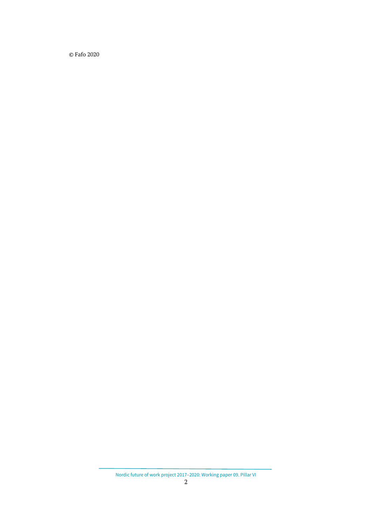© Fafo 2020

Nordic future of work project 2017–2020: Working paper 09. Pillar VI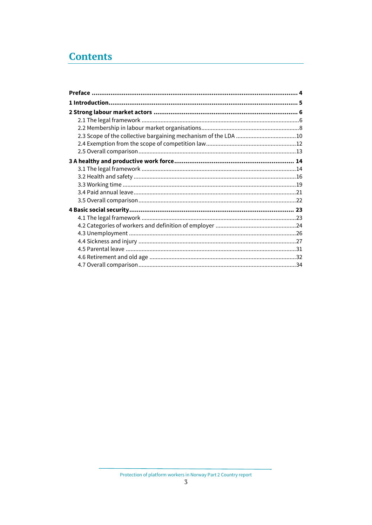# **Contents**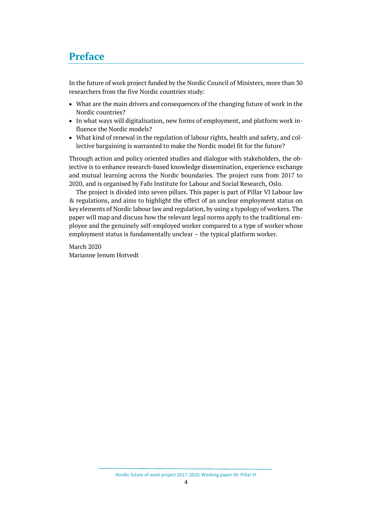## <span id="page-3-0"></span>**Preface**

In the future of work project funded by the Nordic Council of Ministers, more than 30 researchers from the five Nordic countries study:

- What are the main drivers and consequences of the changing future of work in the Nordic countries?
- In what ways will digitalisation, new forms of employment, and platform work influence the Nordic models?
- What kind of renewal in the regulation of labour rights, health and safety, and collective bargaining is warranted to make the Nordic model fit for the future?

Through action and policy oriented studies and dialogue with stakeholders, the objective is to enhance research-based knowledge dissemination, experience exchange and mutual learning across the Nordic boundaries. The project runs from 2017 to 2020, and is organised by Fafo Institute for Labour and Social Research, Oslo.

The project is divided into seven pillars. This paper is part of Pillar VI Labour law & regulations, and aims to highlight the effect of an unclear employment status on key elements of Nordic labour law and regulation, by using a typology of workers. The paper will map and discuss how the relevant legal norms apply to the traditional employee and the genuinely self-employed worker compared to a type of worker whose employment status is fundamentally unclear – the typical platform worker*.*

March 2020 Marianne Jenum Hotvedt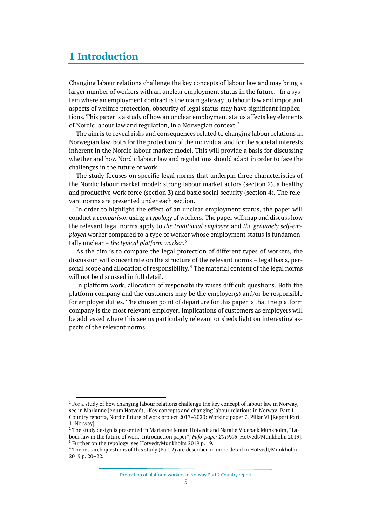## <span id="page-4-0"></span>**1 Introduction**

Changing labour relations challenge the key concepts of labour law and may bring a larger number of workers with an unclear employment status in the future.<sup>[1](#page-4-1)</sup> In a system where an employment contract is the main gateway to labour law and important aspects of welfare protection, obscurity of legal status may have significant implications. This paper is a study of how an unclear employment status affects key elements of Nordic labour law and regulation, in a Norwegian context.<sup>[2](#page-4-2)</sup>

The aim is to reveal risks and consequences related to changing labour relations in Norwegian law, both for the protection of the individual and for the societal interests inherent in the Nordic labour market model. This will provide a basis for discussing whether and how Nordic labour law and regulations should adapt in order to face the challenges in the future of work.

The study focuses on specific legal norms that underpin three characteristics of the Nordic labour market model: strong labour market actors (section 2), a healthy and productive work force (section 3) and basic social security (section 4). The relevant norms are presented under each section.

In order to highlight the effect of an unclear employment status, the paper will conduct a *comparison* using a *typology* of workers. The paper will map and discuss how the relevant legal norms apply to *the traditional employee* and *the genuinely self-employed* worker compared to a type of worker whose employment status is fundamentally unclear – *the typical platform worker*. [3](#page-4-3)

As the aim is to compare the legal protection of different types of workers, the discussion will concentrate on the structure of the relevant norms – legal basis, per-sonal scope and allocation of responsibility.<sup>[4](#page-4-4)</sup> The material content of the legal norms will not be discussed in full detail.

In platform work, allocation of responsibility raises difficult questions. Both the platform company and the customers may be the employer(s) and/or be responsible for employer duties. The chosen point of departure for this paper is that the platform company is the most relevant employer. Implications of customers as employers will be addressed where this seems particularly relevant or sheds light on interesting aspects of the relevant norms.

<span id="page-4-1"></span><sup>&</sup>lt;sup>1</sup> For a study of how changing labour relations challenge the key concept of labour law in Norway, see in Marianne Jenum Hotvedt, «Key concepts and changing labour relations in Norway: Part 1 Country report», Nordic future of work project 2017–2020: Working paper 7. Pillar VI [Report Part 1, Norway].

<span id="page-4-2"></span><sup>&</sup>lt;sup>2</sup> The study design is presented in Marianne Jenum Hotvedt and Natalie Videbæk Munkholm, "Labour law in the future of work. Introduction paper", *Fafo-paper 2019:06* [Hotvedt/Munkholm 2019]. <sup>3</sup> Further on the typology, see Hotvedt/Munkholm 2019 p. 19.

<span id="page-4-4"></span><span id="page-4-3"></span><sup>4</sup> The research questions of this study (Part 2) are described in more detail in Hotvedt/Munkholm 2019 p. 20–22.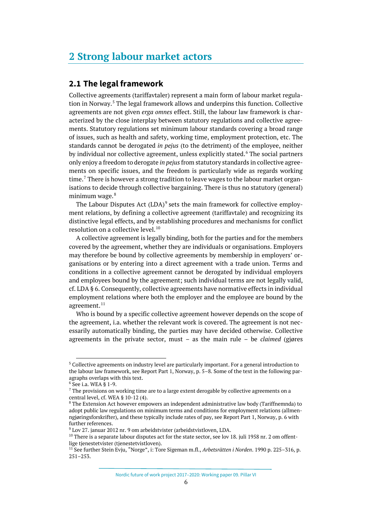## <span id="page-5-0"></span>**2 Strong labour market actors**

### <span id="page-5-1"></span>**2.1 The legal framework**

Collective agreements (tariffavtaler) represent a main form of labour market regulation in Norway.[5](#page-5-2) The legal framework allows and underpins this function. Collective agreements are not given *erga omnes* effect. Still, the labour law framework is characterized by the close interplay between statutory regulations and collective agreements. Statutory regulations set minimum labour standards covering a broad range of issues, such as health and safety, working time, employment protection, etc. The standards cannot be derogated *in pejus* (to the detriment) of the employee, neither by individual nor collective agreement, unless explicitly stated.<sup>[6](#page-5-3)</sup> The social partners only enjoy a freedom to derogate *in pejus* from statutory standards in collective agreements on specific issues, and the freedom is particularly wide as regards working time.<sup>[7](#page-5-4)</sup> There is however a strong tradition to leave wages to the labour market organisations to decide through collective bargaining. There is thus no statutory (general) minimum wage.<sup>[8](#page-5-5)</sup>

The Labour Disputes Act  $(LDA)^9$  $(LDA)^9$  sets the main framework for collective employment relations, by defining a collective agreement (tariffavtale) and recognizing its distinctive legal effects, and by establishing procedures and mechanisms for conflict resolution on a collective level.<sup>[10](#page-5-7)</sup>

A collective agreement is legally binding, both for the parties and for the members covered by the agreement, whether they are individuals or organisations. Employers may therefore be bound by collective agreements by membership in employers' organisations or by entering into a direct agreement with a trade union. Terms and conditions in a collective agreement cannot be derogated by individual employers and employees bound by the agreement; such individual terms are not legally valid, cf. LDA § 6. Consequently, collective agreements have normative effects in individual employment relations where both the employer and the employee are bound by the agreement.<sup>[11](#page-5-8)</sup>

Who is bound by a specific collective agreement however depends on the scope of the agreement, i.a. whether the relevant work is covered. The agreement is not necessarily automatically binding, the parties may have decided otherwise. Collective agreements in the private sector, must – as the main rule – be *claimed* (gjøres

Nordic future of work project 2017–2020: Working paper 09. Pillar VI

<span id="page-5-2"></span><sup>&</sup>lt;sup>5</sup> Collective agreements on industry level are particularly important. For a general introduction to the labour law framework, see Report Part 1, Norway, p. 5–8. Some of the text in the following paragraphs overlaps with this text.

<span id="page-5-3"></span><sup>6</sup> See i.a. WEA § 1-9.

<span id="page-5-4"></span> $<sup>7</sup>$  The provisions on working time are to a large extent derogable by collective agreements on a</sup> central level, cf. WEA § 10-12 (4).

<span id="page-5-5"></span><sup>&</sup>lt;sup>8</sup> The Extension Act however empowers an independent administrative law body (Tariffnemnda) to adopt public law regulations on minimum terms and conditions for employment relations (allmenngjøringsforskrifter), and these typically include rates of pay, see Report Part 1, Norway, p. 6 with further references.

<span id="page-5-6"></span><sup>9</sup> Lov 27. januar 2012 nr. 9 om arbeidstvister (arbeidstvistloven, LDA.

<span id="page-5-7"></span> $10$  There is a separate labour disputes act for the state sector, see lov 18. juli 1958 nr. 2 om offentlige tienestetvister (tienestetvistloven).

<span id="page-5-8"></span><sup>11</sup> See further Stein Evju, "Norge", i: Tore Sigeman m.fl., *Arbetsrätten i Norden*. 1990 p. 225–316, p. 251–253.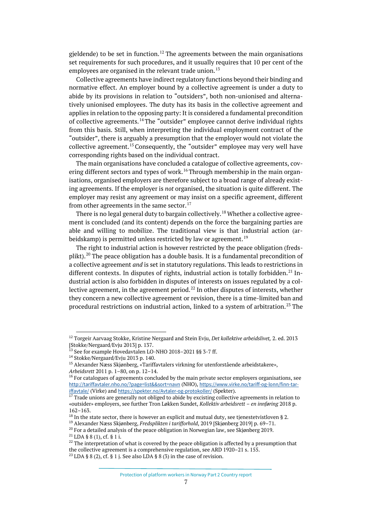gieldende) to be set in function.<sup>[12](#page-6-0)</sup> The agreements between the main organisations set requirements for such procedures, and it usually requires that 10 per cent of the employees are organised in the relevant trade union.<sup>[13](#page-6-1)</sup>

Collective agreements have indirect regulatory functions beyond their binding and normative effect. An employer bound by a collective agreement is under a duty to abide by its provisions in relation to "outsiders", both non-unionised and alternatively unionised employees. The duty has its basis in the collective agreement and applies in relation to the opposing party: It is considered a fundamental precondition of collective agreements.<sup>[14](#page-6-2)</sup> The "outsider" employee cannot derive individual rights from this basis. Still, when interpreting the individual employment contract of the "outsider", there is arguably a presumption that the employer would not violate the collective agreement.<sup>[15](#page-6-3)</sup> Consequently, the "outsider" employee may very well have corresponding rights based on the individual contract.

The main organisations have concluded a catalogue of collective agreements, cov-ering different sectors and types of work.<sup>[16](#page-6-4)</sup> Through membership in the main organisations, organised employers are therefore subject to a broad range of already existing agreements. If the employer is *not* organised, the situation is quite different. The employer may resist any agreement or may insist on a specific agreement, different from other agreements in the same sector. $17$ 

There is no legal general duty to bargain collectively.<sup>[18](#page-6-6)</sup> Whether a collective agreement is concluded (and its content) depends on the force the bargaining parties are able and willing to mobilize. The traditional view is that industrial action (ar-beidskamp) is permitted unless restricted by law or agreement.<sup>[19](#page-6-7)</sup>

The right to industrial action is however restricted by the peace obligation (fredsplikt).[20](#page-6-8) The peace obligation has a double basis. It is a fundamental precondition of a collective agreement *and* is set in statutory regulations. This leads to restrictions in different contexts. In disputes of rights, industrial action is totally forbidden.<sup>[21](#page-6-9)</sup> Industrial action is also forbidden in disputes of interests on issues regulated by a collective agreement, in the agreement period. $^{22}$  $^{22}$  $^{22}$  In other disputes of interests, whether they concern a new collective agreement or revision, there is a time-limited ban and procedural restrictions on industrial action, linked to a system of arbitration. [23](#page-6-11) The

<span id="page-6-0"></span><sup>12</sup> Torgeir Aarvaag Stokke, Kristine Nergaard and Stein Evju, *Det kollektive arbeidslivet,* 2. ed. 2013 [Stokke/Nergaard/Evju 2013] p. 137.

<sup>&</sup>lt;sup>13</sup> See for example Hovedavtalen LO-NHO 2018-2021 §§ 3-7 ff.

<span id="page-6-2"></span><span id="page-6-1"></span><sup>14</sup> Stokke/Nergaard/Evju 2013 p. 140.

<span id="page-6-3"></span><sup>15</sup> Alexander Næss Skjønberg, «Tariffavtalers virkning for utenforstående arbeidstakere», *Arbeidsrett* 2011 p. 1–80, on p. 12–14.

<span id="page-6-4"></span> $16$  For catalogues of agreements concluded by the main private sector employers organisations, see <http://tariffavtaler.nho.no/?page=list&&sort=navn> (NHO), [https://www.virke.no/tariff-og-lonn/finn-tar](https://www.virke.no/tariff-og-lonn/finn-tariffavtale/)[iffavtale/](https://www.virke.no/tariff-og-lonn/finn-tariffavtale/) (Virke) and <https://spekter.no/Avtaler-og-protokoller/> (Spekter).

<span id="page-6-5"></span> $17$  Trade unions are generally not obliged to abide by excisting collective agreements in relation to «outsider» employers, see further Tron Løkken Sundet, *Kollektiv arbeidsrett – en innføring* 2018 p. 162–163.

<span id="page-6-6"></span><sup>&</sup>lt;sup>18</sup> In the state sector, there is however an explicit and mutual duty, see tienestetvistloven § 2. <sup>19</sup> Alexander Næss Skjønberg, *Fredsplikten i tarifforhold*, 2019 [Skjønberg 2019] p. 69–71.

<span id="page-6-8"></span><span id="page-6-7"></span> $^{20}$  For a detailed analysis of the peace obligation in Norwegian law, see Skiønberg 2019.

<span id="page-6-9"></span> $^{21}$  LDA § 8 (1), cf. § 1 i.

<span id="page-6-11"></span><span id="page-6-10"></span> $22$  The interpretation of what is covered by the peace obligation is affected by a presumption that the collective agreement is a comprehensive regulation, see ARD 1920–21 s. 155.  $23$  LDA § 8 (2), cf. § 1 j. See also LDA § 8 (3) in the case of revision.

Protection of platform workers in Norway Part 2 Country report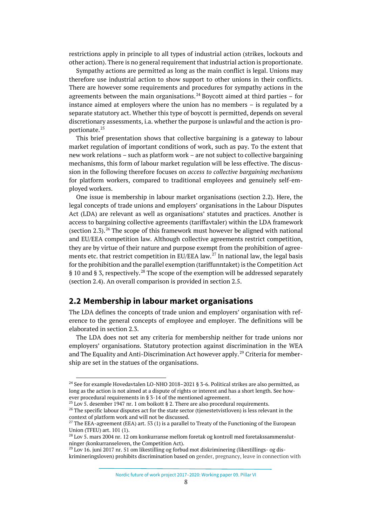restrictions apply in principle to all types of industrial action (strikes, lockouts and other action). There is no general requirement that industrial action is proportionate.

Sympathy actions are permitted as long as the main conflict is legal. Unions may therefore use industrial action to show support to other unions in their conflicts. There are however some requirements and procedures for sympathy actions in the agreements between the main organisations.<sup>[24](#page-7-1)</sup> Boycott aimed at third parties – for instance aimed at employers where the union has no members – is regulated by a separate statutory act. Whether this type of boycott is permitted, depends on several discretionary assessments, i.a. whether the purpose is unlawful and the action is proportionate.[25](#page-7-2)

This brief presentation shows that collective bargaining is a gateway to labour market regulation of important conditions of work, such as pay. To the extent that new work relations – such as platform work – are not subject to collective bargaining mechanisms, this form of labour market regulation will be less effective. The discussion in the following therefore focuses on *access to collective bargaining mechanisms* for platform workers, compared to traditional employees and genuinely self-employed workers.

One issue is membership in labour market organisations (section 2.2). Here, the legal concepts of trade unions and employers' organisations in the Labour Disputes Act (LDA) are relevant as well as organisations' statutes and practices. Another is access to bargaining collective agreements (tariffavtaler) within the LDA framework (section 2.3).<sup>[26](#page-7-3)</sup> The scope of this framework must however be aligned with national and EU/EEA competition law. Although collective agreements restrict competition, they are by virtue of their nature and purpose exempt from the prohibition of agree-ments etc. that restrict competition in EU/EEA law.<sup>[27](#page-7-4)</sup> In national law, the legal basis for the prohibition and the parallel exemption (tariffunntaket) is the Competition Act § 10 and § 3, respectively.<sup>[28](#page-7-5)</sup> The scope of the exemption will be addressed separately (section 2.4). An overall comparison is provided in section 2.5.

### <span id="page-7-0"></span>**2.2 Membership in labour market organisations**

The LDA defines the concepts of trade union and employers' organisation with reference to the general concepts of employee and employer. The definitions will be elaborated in section 2.3.

The LDA does not set any criteria for membership neither for trade unions nor employers' organisations. Statutory protection against discrimination in the WEA and The Equality and Anti-Discrimination Act however apply.<sup>[29](#page-7-6)</sup> Criteria for membership are set in the statues of the organisations.

Nordic future of work project 2017–2020: Working paper 09. Pillar VI

<span id="page-7-1"></span><sup>&</sup>lt;sup>24</sup> See for example Hovedavtalen LO-NHO 2018-2021 § 3-6. Political strikes are also permitted, as long as the action is not aimed at a dispute of rights or interest and has a short length. See however procedural requirements in § 3-14 of the mentioned agreement.

 $25$  Lov 5. desember 1947 nr. 1 om boikott § 2. There are also procedural requirements.

<span id="page-7-3"></span><span id="page-7-2"></span><sup>&</sup>lt;sup>26</sup> The specific labour disputes act for the state sector (tjenestetvistloven) is less relevant in the context of platform work and will not be discussed.

<span id="page-7-4"></span><sup>&</sup>lt;sup>27</sup> The EEA-agreement (EEA) art. 53 (1) is a parallel to Treaty of the Functioning of the European Union (TFEU) art. 101 (1).

<span id="page-7-5"></span><sup>&</sup>lt;sup>28</sup> Lov 5. mars 2004 nr. 12 om konkurranse mellom foretak og kontroll med foretakssammenslutninger (konkurranseloven, the Competition Act).

<span id="page-7-6"></span> $^{29}$  Lov 16. juni 2017 nr. 51 om likestilling og forbud mot diskriminering (likestillings- og diskrimineringsloven) prohibits discrimination based on gender, pregnancy, leave in connection with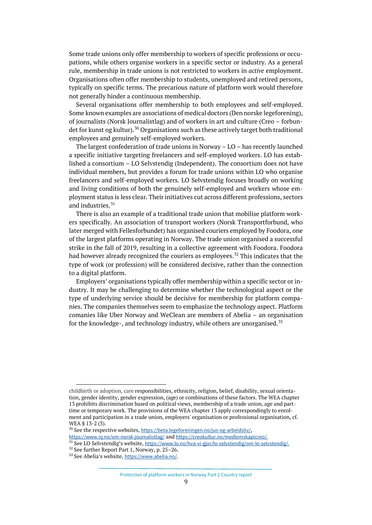Some trade unions only offer membership to workers of specific professions or occupations, while others organise workers in a specific sector or industry. As a general rule, membership in trade unions is not restricted to workers in *active* employment. Organisations often offer membership to students, unemployed and retired persons, typically on specific terms. The precarious nature of platform work would therefore not generally hinder a continuous membership.

Several organisations offer membership to both employees and self-employed. Some known examples are associations of medical doctors (Den norske legeforening), of journalists (Norsk Journalistlag) and of workers in art and culture (Creo – forbundet for kunst og kultur).  $^{30}$  $^{30}$  $^{30}$  Organisations such as these actively target both traditional employees and genuinely self-employed workers.

The largest confederation of trade unions in Norway – LO – has recently launched a specific initiative targeting freelancers and self-employed workers. LO has established a consortium – LO Selvstendig (Independent). The consortium does not have individual members, but provides a forum for trade unions within LO who organise freelancers and self-employed workers. LO Selvstendig focuses broadly on working and living conditions of both the genuinely self-employed and workers whose employment status is less clear. Their initiatives cut across different professions, sectors and industries. $31$ 

There is also an example of a traditional trade union that mobilise platform workers specifically. An association of transport workers (Norsk Transportforbund, who later merged with Fellesforbundet) has organised couriers employed by Foodora, one of the largest platforms operating in Norway. The trade union organised a successful strike in the fall of 2019, resulting in a collective agreement with Foodora. Foodora had however already recognized the couriers as employees.<sup>[32](#page-8-2)</sup> This indicates that the type of work (or profession) will be considered decisive, rather than the connection to a digital platform.

Employers' organisations typically offer membership within a specific sector or industry. It may be challenging to determine whether the technological aspect or the type of underlying service should be decisive for membership for platform companies. The companies themselves seem to emphasize the technology aspect. Platform comanies like Uber Norway and WeClean are members of Abelia – an organisation for the knowledge-, and technology industry, while others are unorganised.<sup>[33](#page-8-3)</sup>

childbirth or adoption, care responsibilities, ethnicity, religion, belief, disability, sexual orientation, gender identity, gender expression, (age) or combinations of these factors. The WEA chapter 13 prohibits discrimination based on political views, membership of a trade union, age and parttime or temporary work. The provisions of the WEA chapter 13 apply correspondingly to enrolment and participation in a trade union, employers' organisation or professional organisation, cf. WEA § 13-2 (3).

<span id="page-8-0"></span><sup>&</sup>lt;sup>30</sup> See the respective websites, <https://beta.legeforeningen.no/jus-og-arbeidsliv/>,

<https://www.nj.no/om-norsk-journalistlag/> and [https://creokultur.no/medlemskapicreo/.](https://creokultur.no/medlemskapicreo/)

<span id="page-8-1"></span><sup>&</sup>lt;sup>31</sup> See LO Selvstendig's website, [https://www.lo.no/hva-vi-gjor/lo-selvstendig/om-lo-selvstendig/.](https://www.lo.no/hva-vi-gjor/lo-selvstendig/om-lo-selvstendig/)

<span id="page-8-2"></span><sup>32</sup> See further Report Part 1, Norway, p. 25–26.

<span id="page-8-3"></span><sup>33</sup> See Abelia's website, <https://www.abelia.no/>.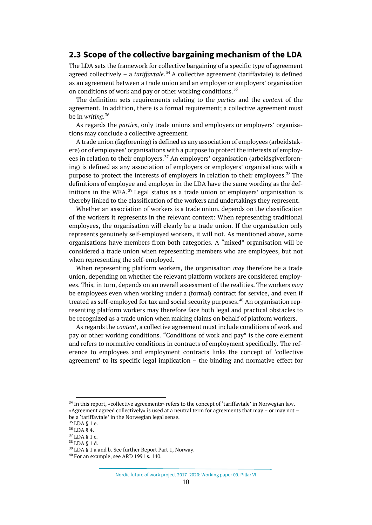#### <span id="page-9-0"></span>**2.3 Scope of the collective bargaining mechanism of the LDA**

The LDA sets the framework for collective bargaining of a specific type of agreement agreed collectively – a *tariffavtale*.<sup>[34](#page-9-1)</sup> A collective agreement (tariffavtale) is defined as an agreement between a trade union and an employer or employers' organisation on conditions of work and pay or other working conditions.<sup>[35](#page-9-2)</sup>

The definition sets requirements relating to the *parties* and the *content* of the agreement. In addition, there is a formal requirement; a collective agreement must be in *writing*. [36](#page-9-3)

As regards the *parties*, only trade unions and employers or employers' organisations may conclude a collective agreement.

A trade union (fagforening) is defined as any association of employees (arbeidstakere) or of employees' organisations with a purpose to protect the interests of employ-ees in relation to their employers.<sup>[37](#page-9-4)</sup> An employers' organisation (arbeidsgiverforening) is defined as any association of employers or employers' organisations with a purpose to protect the interests of employers in relation to their employees.<sup>[38](#page-9-5)</sup> The definitions of employee and employer in the LDA have the same wording as the definitions in the WEA. $^{39}$  $^{39}$  $^{39}$  Legal status as a trade union or employers' organisation is thereby linked to the classification of the workers and undertakings they represent.

Whether an association of workers is a trade union, depends on the classification of the workers it represents in the relevant context: When representing traditional employees, the organisation will clearly be a trade union. If the organisation only represents genuinely self-employed workers, it will not. As mentioned above, some organisations have members from both categories. A "mixed" organisation will be considered a trade union when representing members who are employees, but not when representing the self-employed.

When representing platform workers, the organisation *may* therefore be a trade union, depending on whether the relevant platform workers are considered employees. This, in turn, depends on an overall assessment of the realities. The workers *may* be employees even when working under a (formal) contract for service, and even if treated as self-employed for tax and social security purposes.<sup>[40](#page-9-7)</sup> An organisation representing platform workers may therefore face both legal and practical obstacles to be recognized as a trade union when making claims on behalf of platform workers.

As regards the *content*, a collective agreement must include conditions of work and pay or other working conditions. "Conditions of work and pay" is the core element and refers to normative conditions in contracts of employment specifically. The reference to employees and employment contracts links the concept of 'collective agreement' to its specific legal implication – the binding and normative effect for

<span id="page-9-1"></span><sup>34</sup> In this report, «collective agreements» refers to the concept of 'tariffavtale' in Norwegian law. «Agreement agreed collectively» is used at a neutral term for agreements that may – or may not – be a 'tariffavtale' in the Norwegian legal sense.

<span id="page-9-2"></span><sup>35</sup> LDA § 1 e.

<span id="page-9-3"></span><sup>36</sup> LDA § 4.

<span id="page-9-4"></span><sup>37</sup> LDA § 1 c.

<span id="page-9-5"></span><sup>38</sup> LDA § 1 d.

 $39$  LDA § 1 a and b. See further Report Part 1, Norway.

<span id="page-9-7"></span><span id="page-9-6"></span><sup>40</sup> For an example, see ARD 1991 s. 140.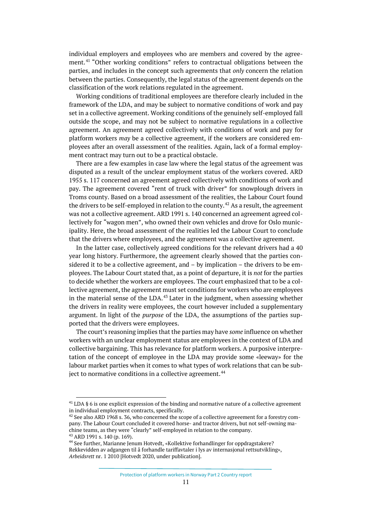individual employers and employees who are members and covered by the agree-ment.<sup>[41](#page-10-0)</sup> "Other working conditions" refers to contractual obligations between the parties, and includes in the concept such agreements that *only* concern the relation between the parties. Consequently, the legal status of the agreement depends on the classification of the work relations regulated in the agreement.

Working conditions of traditional employees are therefore clearly included in the framework of the LDA, and may be subject to normative conditions of work and pay set in a collective agreement. Working conditions of the genuinely self-employed fall outside the scope, and may not be subject to normative regulations in a collective agreement. An agreement agreed collectively with conditions of work and pay for platform workers *may* be a collective agreement, if the workers are considered employees after an overall assessment of the realities. Again, lack of a formal employment contract may turn out to be a practical obstacle.

There are a few examples in case law where the legal status of the agreement was disputed as a result of the unclear employment status of the workers covered. ARD 1955 s. 117 concerned an agreement agreed collectively with conditions of work and pay. The agreement covered "rent of truck with driver" for snowplough drivers in Troms county. Based on a broad assessment of the realities, the Labour Court found the drivers to be self-employed in relation to the county.<sup>[42](#page-10-1)</sup> As a result, the agreement was not a collective agreement. ARD 1991 s. 140 concerned an agreement agreed collectively for "wagon men", who owned their own vehicles and drove for Oslo municipality. Here, the broad assessment of the realities led the Labour Court to conclude that the drivers where employees, and the agreement was a collective agreement.

In the latter case, collectively agreed conditions for the relevant drivers had a 40 year long history. Furthermore, the agreement clearly showed that the parties considered it to be a collective agreement, and – by implication – the drivers to be employees. The Labour Court stated that, as a point of departure, it is *not* for the parties to decide whether the workers are employees. The court emphasized that to be a collective agreement, the agreement must set conditions for workers who are employees in the material sense of the LDA. $43$  Later in the judgment, when assessing whether the drivers in reality were employees, the court however included a supplementary argument. In light of the *purpose* of the LDA, the assumptions of the parties supported that the drivers were employees.

The court's reasoning implies that the parties may have *some* influence on whether workers with an unclear employment status are employees in the context of LDA and collective bargaining. This has relevance for platform workers. A purposive interpretation of the concept of employee in the LDA may provide some «leeway» for the labour market parties when it comes to what types of work relations that can be sub-ject to normative conditions in a collective agreement.<sup>[44](#page-10-3)</sup>

<span id="page-10-0"></span><sup>&</sup>lt;sup>41</sup> LDA § 6 is one explicit expression of the binding and normative nature of a collective agreement in individual employment contracts, specifically.

<span id="page-10-1"></span> $42$  See also ARD 1968 s. 36, who concerned the scope of a collective agreeement for a forestry company. The Labour Court concluded it covered horse- and tractor drivers, but not self-owning machine teams, as they were "clearly" self-employed in relation to the company.

<sup>43</sup> ARD 1991 s. 140 (p. 169).

<span id="page-10-3"></span><span id="page-10-2"></span><sup>&</sup>lt;sup>44</sup> See further, Marianne Jenum Hotvedt, «Kollektive forhandlinger for oppdragstakere? Rekkevidden av adgangen til å forhandle tariffavtaler i lys av internasjonal rettsutvikling», *Arbeidsrett* nr. 1 2010 [Hotvedt 2020, under publication].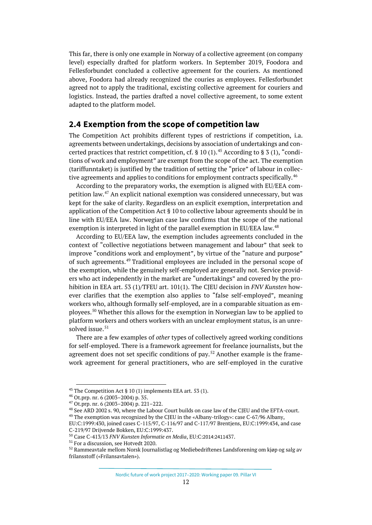This far, there is only one example in Norway of a collective agreement (on company level) especially drafted for platform workers. In September 2019, Foodora and Fellesforbundet concluded a collective agreement for the couriers. As mentioned above, Foodora had already recognized the couries as employees. Fellesforbundet agreed not to apply the traditional, excisting collective agreement for couriers and logistics. Instead, the parties drafted a novel collective agreement, to some extent adapted to the platform model.

#### <span id="page-11-0"></span>**2.4 Exemption from the scope of competition law**

The Competition Act prohibits different types of restrictions if competition, i.a. agreements between undertakings, decisions by association of undertakings and con-certed practices that restrict competition, cf. § 10 (1).<sup>[45](#page-11-1)</sup> According to § 3 (1), "conditions of work and employment" are exempt from the scope of the act. The exemption (tariffunntaket) is justified by the tradition of setting the "price" of labour in collec-tive agreements and applies to conditions for employment contracts specifically.<sup>[46](#page-11-2)</sup>

According to the preparatory works, the exemption is aligned with EU/EEA competition law. [47](#page-11-3) An explicit national exemption was considered unnecessary, but was kept for the sake of clarity. Regardless on an explicit exemption, interpretation and application of the Competition Act § 10 to collective labour agreements should be in line with EU/EEA law. Norwegian case law confirms that the scope of the national exemption is interpreted in light of the parallel exemption in EU/EEA law.<sup>[48](#page-11-4)</sup>

According to EU/EEA law, the exemption includes agreements concluded in the context of "collective negotiations between management and labour" that seek to improve "conditions work and employment", by virtue of the "nature and purpose" of such agreements.<sup>[49](#page-11-5)</sup> Traditional employees are included in the personal scope of the exemption, while the genuinely self-employed are generally not. Service providers who act independently in the market are "undertakings" and covered by the prohibition in EEA art. 53 (1)/TFEU art. 101(1). The CJEU decision in *FNV Kunsten* however clarifies that the exemption also applies to "false self-employed", meaning workers who, although formally self-employed, are in a comparable situation as employees.[50](#page-11-6) Whether this allows for the exemption in Norwegian law to be applied to platform workers and others workers with an unclear employment status, is an unre-solved issue.<sup>[51](#page-11-7)</sup>

There are a few examples of *other* types of collectively agreed working conditions for self-employed. There is a framework agreement for freelance journalists, but the agreement does not set specific conditions of pay.<sup>[52](#page-11-8)</sup> Another example is the framework agreement for general practitioners, who are self-employed in the curative

Nordic future of work project 2017–2020: Working paper 09. Pillar VI

<span id="page-11-1"></span><sup>&</sup>lt;sup>45</sup> The Competition Act § 10 (1) implements EEA art. 53 (1).

<span id="page-11-2"></span><sup>46</sup> Ot.prp. nr. 6 (2003–2004) p. 35.

<span id="page-11-3"></span> $47$  Ot.prp. nr. 6 (2003–2004) p. 221–222.

<span id="page-11-4"></span><sup>&</sup>lt;sup>48</sup> See ARD 2002 s. 90, where the Labour Court builds on case law of the CJEU and the EFTA-court.  $49$  The exemption was recognized by the CJEU in the «Albany-trilogy»: case C-67/96 Albany,

<span id="page-11-5"></span>EU:C:1999:430, joined cases C-115/97, C-116/97 and C-117/97 Brentjens, EU:C:1999:434, and case C-219/97 Drijvende Bokken, EU:C:1999:437.

<span id="page-11-6"></span><sup>50</sup> Case C-413/13 *FNV Kunsten Informatie en Media*, EU:C:2014:2411437.

<span id="page-11-7"></span><sup>51</sup> For a discussion, see Hotvedt 2020.

<span id="page-11-8"></span><sup>52</sup> Rammeavtale mellom Norsk Journalistlag og Mediebedriftenes Landsforening om kjøp og salg av frilansstoff («Frilansavtalen»).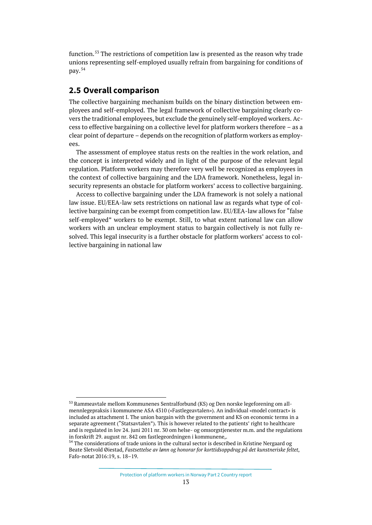function.<sup>[53](#page-12-1)</sup> The restrictions of competition law is presented as the reason why trade unions representing self-employed usually refrain from bargaining for conditions of pay. [54](#page-12-2)

## <span id="page-12-0"></span>**2.5 Overall comparison**

The collective bargaining mechanism builds on the binary distinction between employees and self-employed. The legal framework of collective bargaining clearly covers the traditional employees, but exclude the genuinely self-employed workers. Access to effective bargaining on a collective level for platform workers therefore – as a clear point of departure – depends on the recognition of platform workers as employees.

The assessment of employee status rests on the realties in the work relation, and the concept is interpreted widely and in light of the purpose of the relevant legal regulation. Platform workers may therefore very well be recognized as employees in the context of collective bargaining and the LDA framework. Nonetheless, legal insecurity represents an obstacle for platform workers' access to collective bargaining.

Access to collective bargaining under the LDA framework is not solely a national law issue. EU/EEA-law sets restrictions on national law as regards what type of collective bargaining can be exempt from competition law. EU/EEA-law allows for "false self-employed" workers to be exempt. Still, to what extent national law can allow workers with an unclear employment status to bargain collectively is not fully resolved. This legal insecurity is a further obstacle for platform workers' access to collective bargaining in national law

<span id="page-12-1"></span><sup>53</sup> Rammeavtale mellom Kommunenes Sentralforbund (KS) og Den norske legeforening om allmennlegepraksis i kommunene ASA 4310 («Fastlegeavtalen»). An individual «model contract» is included as attachment I. The union bargain with the government and KS on economic terms in a separate agreement ("Statsavtalen"). This is however related to the patients' right to healthcare and is regulated in lov 24. juni 2011 nr. 30 om helse- og omsorgstjenester m.m. and the regulations in forskrift 29. august nr. 842 om fastlegeordningen i kommunene,.

<span id="page-12-2"></span><sup>&</sup>lt;sup>54</sup> The considerations of trade unions in the cultural sector is described in Kristine Nergaard og Beate Sletvold Øiestad, *Fastsettelse av lønn og honorar for korttidsoppdrag på det kunstneriske feltet*, Fafo-notat 2016:19, s. 18–19.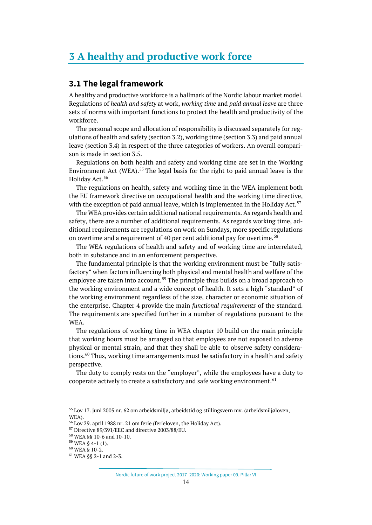## <span id="page-13-0"></span>**3 A healthy and productive work force**

#### <span id="page-13-1"></span>**3.1 The legal framework**

A healthy and productive workforce is a hallmark of the Nordic labour market model. Regulations of *health and safety* at work, *working time* and *paid annual leave* are three sets of norms with important functions to protect the health and productivity of the workforce.

The personal scope and allocation of responsibility is discussed separately for regulations of health and safety (section 3.2), working time (section 3.3) and paid annual leave (section 3.4) in respect of the three categories of workers. An overall comparison is made in section 3.5.

Regulations on both health and safety and working time are set in the Working Environment Act (WEA).<sup>[55](#page-13-2)</sup> The legal basis for the right to paid annual leave is the Holiday Act. [56](#page-13-3)

The regulations on health, safety and working time in the WEA implement both the EU framework directive on occupational health and the working time directive, with the exception of paid annual leave, which is implemented in the Holiday Act.<sup>[57](#page-13-4)</sup>

The WEA provides certain additional national requirements. As regards health and safety, there are a number of additional requirements. As regards working time, additional requirements are regulations on work on Sundays, more specific regulations on overtime and a requirement of 40 per cent additional pay for overtime.<sup>[58](#page-13-5)</sup>

The WEA regulations of health and safety and of working time are interrelated, both in substance and in an enforcement perspective.

The fundamental principle is that the working environment must be "fully satisfactory" when factors influencing both physical and mental health and welfare of the employee are taken into account.<sup>[59](#page-13-6)</sup> The principle thus builds on a broad approach to the working environment and a wide concept of health. It sets a high "standard" of the working environment regardless of the size, character or economic situation of the enterprise. Chapter 4 provide the main *functional requirements* of the standard. The requirements are specified further in a number of regulations pursuant to the WEA.

The regulations of working time in WEA chapter 10 build on the main principle that working hours must be arranged so that employees are not exposed to adverse physical or mental strain, and that they shall be able to observe safety considerations. [60](#page-13-7) Thus, working time arrangements must be satisfactory in a health and safety perspective.

The duty to comply rests on the "employer", while the employees have a duty to cooperate actively to create a satisfactory and safe working environment.  $61$ 

Nordic future of work project 2017–2020: Working paper 09. Pillar VI

<span id="page-13-2"></span><sup>55</sup> Lov 17. juni 2005 nr. 62 om arbeidsmiljø, arbeidstid og stillingsvern mv. (arbeidsmiljøloven, W<sub>FA</sub>).

<span id="page-13-3"></span><sup>56</sup> Lov 29. april 1988 nr. 21 om ferie (ferieloven, the Holiday Act).

<span id="page-13-4"></span><sup>57</sup> Directive 89/391/EEC and directive 2003/88/EU.

<sup>58</sup> WEA §§ 10-6 and 10-10.

<span id="page-13-7"></span><span id="page-13-6"></span><span id="page-13-5"></span> $59$  WEA § 4-1 (1).

<sup>60</sup> WEA § 10-2.

<span id="page-13-8"></span><sup>61</sup> WEA §§ 2-1 and 2-3.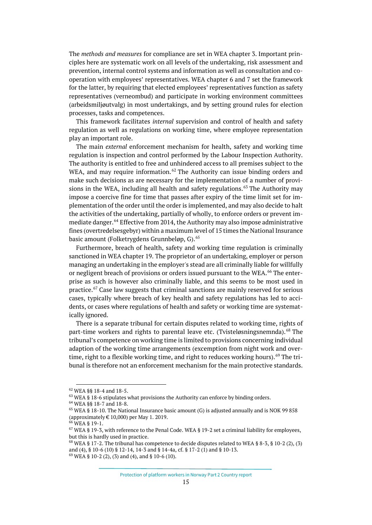The *methods and measures* for compliance are set in WEA chapter 3. Important principles here are systematic work on all levels of the undertaking, risk assessment and prevention, internal control systems and information as well as consultation and cooperation with employees' representatives. WEA chapter 6 and 7 set the framework for the latter, by requiring that elected employees' representatives function as safety representatives (verneombud) and participate in working environment committees (arbeidsmiljøutvalg) in most undertakings, and by setting ground rules for election processes, tasks and competences.

This framework facilitates *internal* supervision and control of health and safety regulation as well as regulations on working time, where employee representation play an important role.

The main *external* enforcement mechanism for health, safety and working time regulation is inspection and control performed by the Labour Inspection Authority. The authority is entitled to free and unhindered access to all premises subject to the WEA, and may require information.<sup>[62](#page-14-0)</sup> The Authority can issue binding orders and make such decisions as are necessary for the implementation of a number of provi-sions in the WEA, including all health and safety regulations.<sup>[63](#page-14-1)</sup> The Authority may impose a coercive fine for time that passes after expiry of the time limit set for implementation of the order until the order is implemented, and may also decide to halt the activities of the undertaking, partially of wholly, to enforce orders or prevent im-mediate danger.<sup>[64](#page-14-2)</sup> Effective from 2014, the Authority may also impose administrative fines (overtredelsesgebyr) within a maximum level of 15 times the National Insurance basic amount (Folketrygdens Grunnbeløp, G).<sup>[65](#page-14-3)</sup>

Furthermore, breach of health, safety and working time regulation is criminally sanctioned in WEA chapter 19. The proprietor of an undertaking, employer or person managing an undertaking in the employer's stead are all criminally liable for willfully or negligent breach of provisions or orders issued pursuant to the WEA.<sup>[66](#page-14-4)</sup> The enterprise as such is however also criminally liable, and this seems to be most used in practice.[67](#page-14-5) Case law suggests that criminal sanctions are mainly reserved for serious cases, typically where breach of key health and safety regulations has led to accidents, or cases where regulations of health and safety or working time are systematically ignored.

There is a separate tribunal for certain disputes related to working time, rights of part-time workers and rights to parental leave etc. (Tvisteløsningsnemnda).<sup>[68](#page-14-6)</sup> The tribunal's competence on working time is limited to provisions concerning individual adaption of the working time arrangements (excemption from night work and over-time, right to a flexible working time, and right to reduces working hours).<sup>[69](#page-14-7)</sup> The tribunal is therefore not an enforcement mechanism for the main protective standards.

<span id="page-14-0"></span><sup>62</sup> WEA §§ 18-4 and 18-5.

<span id="page-14-1"></span> $63$  WEA § 18-6 stipulates what provisions the Authority can enforce by binding orders.

<span id="page-14-2"></span><sup>64</sup> WEA §§ 18-7 and 18-8.

<span id="page-14-3"></span> $65$  WEA § 18-10. The National Insurance basic amount (G) is adjusted annually and is NOK 99 858 (approximately  $\in$  10,000) per May 1. 2019.

<span id="page-14-4"></span><sup>66</sup> WEA § 19-1.

<span id="page-14-5"></span> $67$  WEA § 19-3, with reference to the Penal Code. WEA § 19-2 set a criminal liability for employees, but this is hardly used in practice.

<span id="page-14-7"></span><span id="page-14-6"></span> $68$  WEA § 17-2. The tribunal has competence to decide disputes related to WEA § 8-3, § 10-2 (2), (3) and (4), § 10-6 (10) § 12-14, 14-3 and § 14-4a, cf. § 17-2 (1) and § 10-13.  $69$  WEA § 10-2 (2), (3) and (4), and § 10-6 (10).

Protection of platform workers in Norway Part 2 Country report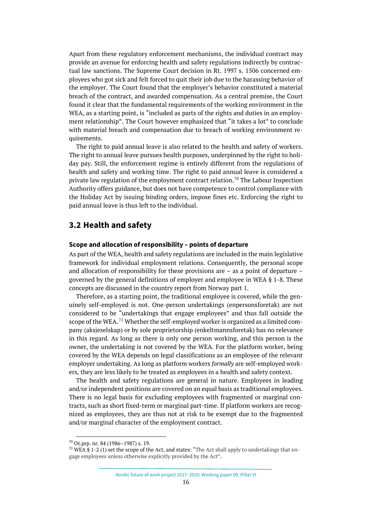Apart from these regulatory enforcement mechanisms, the individual contract may provide an avenue for enforcing health and safety regulations indirectly by contractual law sanctions. The Supreme Court decision in Rt. 1997 s. 1506 concerned employees who got sick and felt forced to quit their job due to the harassing behavior of the employer. The Court found that the employer's behavior constituted a material breach of the contract, and awarded compensation. As a central premise, the Court found it clear that the fundamental requirements of the working environment in the WEA, as a starting point, is "included as parts of the rights and duties in an employment relationship". The Court however emphasized that "it takes a lot" to conclude with material breach and compensation due to breach of working environment requirements.

The right to paid annual leave is also related to the health and safety of workers. The right to annual leave pursues health purposes, underpinned by the right to holiday pay. Still, the enforcement regime is entirely different from the regulations of health and safety and working time. The right to paid annual leave is considered a private law regulation of the employment contract relation.<sup>[70](#page-15-1)</sup> The Labour Inspection Authority offers guidance, but does not have competence to control compliance with the Holiday Act by issuing binding orders, impose fines etc. Enforcing the right to paid annual leave is thus left to the individual.

#### <span id="page-15-0"></span>**3.2 Health and safety**

#### **Scope and allocation of responsibility – points of departure**

As part of the WEA, health and safety regulations are included in the main legislative framework for individual employment relations. Consequently, the personal scope and allocation of responsibility for these provisions are – as a point of departure – governed by the general definitions of employer and employee in WEA § 1-8. These concepts are discussed in the country report from Norway part 1.

Therefore, as a starting point, the traditional employee is covered, while the genuinely self-employed is not. One-person undertakings (enpersonsforetak) are not considered to be "undertakings that engage employees" and thus fall outside the scope of the WEA.<sup>[71](#page-15-2)</sup> Whether the self-employed worker is organized as a limited company (aksjeselskap) or by sole proprietorship (enkeltmannsforetak) has no relevance in this regard. As long as there is only one person working, and this person is the owner, the undertaking is not covered by the WEA. For the platform worker, being covered by the WEA depends on legal classifications as an employee of the relevant employer undertaking. As long as platform workers *formally* are self-employed workers, they are less likely to be treated as employees in a health and safety context.

The health and safety regulations are general in nature. Employees in leading and/or independent positions are covered on an equal basis as traditional employees. There is no legal basis for excluding employees with fragmented or marginal contracts, such as short fixed-term or marginal part-time. If platform workers are recognized as employees, they are thus not at risk to be exempt due to the fragmented and/or marginal character of the employment contract.

<span id="page-15-1"></span> $70$  Ot.prp. nr. 84 (1986–1987) s. 19.

<span id="page-15-2"></span><sup>&</sup>lt;sup>71</sup> WEA § 1-2 (1) set the scope of the Act, and states: "The Act shall apply to undertakings that engage employees unless otherwise explicitly provided by the Act".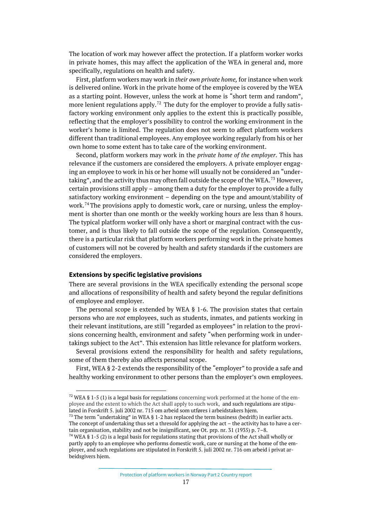The location of work may however affect the protection. If a platform worker works in private homes, this may affect the application of the WEA in general and, more specifically, regulations on health and safety.

First, platform workers may work in *their own private home,* for instance when work is delivered online*.* Work in the private home of the employee is covered by the WEA as a starting point. However, unless the work at home is "short term and random", more lenient regulations apply.<sup>[72](#page-16-0)</sup> The duty for the employer to provide a fully satisfactory working environment only applies to the extent this is practically possible, reflecting that the employer's possibility to control the working environment in the worker's home is limited. The regulation does not seem to affect platform workers different than traditional employees. Any employee working regularly from his or her own home to some extent has to take care of the working environment.

Second, platform workers may work in the *private home of the employer*. This has relevance if the customers are considered the employers. A private employer engaging an employee to work in his or her home will usually not be considered an "under-taking", and the activity thus may often fall outside the scope of the WEA.<sup>[73](#page-16-1)</sup> However, certain provisions still apply – among them a duty for the employer to provide a fully satisfactory working environment – depending on the type and amount/stability of work.<sup>[74](#page-16-2)</sup> The provisions apply to domestic work, care or nursing, unless the employment is shorter than one month or the weekly working hours are less than 8 hours. The typical platform worker will only have a short or marginal contract with the customer, and is thus likely to fall outside the scope of the regulation. Consequently, there is a particular risk that platform workers performing work in the private homes of customers will not be covered by health and safety standards if the customers are considered the employers.

#### **Extensions by specific legislative provisions**

There are several provisions in the WEA specifically extending the personal scope and allocations of responsibility of health and safety beyond the regular definitions of employee and employer.

The personal scope is extended by WEA § 1-6. The provision states that certain persons who are *not* employees, such as students, inmates, and patients working in their relevant institutions, are still "regarded as employees" in relation to the provisions concerning health, environment and safety "when performing work in undertakings subject to the Act". This extension has little relevance for platform workers.

Several provisions extend the responsibility for health and safety regulations, some of them thereby also affects personal scope.

First, WEA § 2-2 extends the responsibility of the "employer" to provide a safe and healthy working environment to other persons than the employer's own employees.

<span id="page-16-0"></span><sup>&</sup>lt;sup>72</sup> WEA § 1-5 (1) is a legal basis for regulations concerning work performed at the home of the employee and the extent to which the Act shall apply to such work, and such regulations are stipulated in Forskrift 5. juli 2002 nr. 715 om arbeid som utføres i arbeidstakers hjem.

<span id="page-16-1"></span><sup>&</sup>lt;sup>73</sup> The term "undertaking" in WEA § 1-2 has replaced the term business (bedrift) in earlier acts. The concept of undertaking thus set a thresold for applying the act – the activity has to have a certain organisation, stability and not be insignificant, see Ot. prp. nr. 31 (1935) p. 7–8.

<span id="page-16-2"></span> $74$  WEA § 1-5 (2) is a legal basis for regulations stating that provisions of the Act shall wholly or partly apply to an employee who performs domestic work, care or nursing at the home of the employer, and such regulations are stipulated in Forskrift 5. juli 2002 nr. 716 om arbeid i privat arbeidsgivers hjem.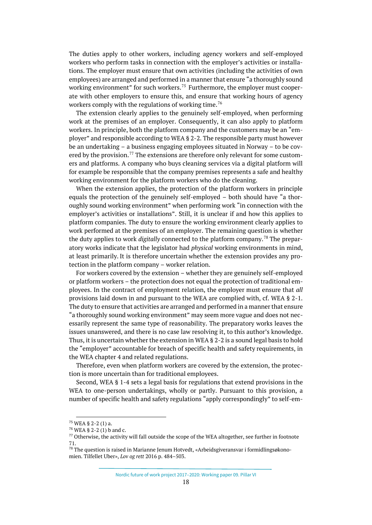The duties apply to other workers, including agency workers and self-employed workers who perform tasks in connection with the employer's activities or installations. The employer must ensure that own activities (including the activities of own employees) are arranged and performed in a manner that ensure "a thoroughly sound working environment" for such workers.<sup>[75](#page-17-0)</sup> Furthermore, the employer must cooperate with other employers to ensure this, and ensure that working hours of agency workers comply with the regulations of working time.<sup>[76](#page-17-1)</sup>

The extension clearly applies to the genuinely self-employed, when performing work at the premises of an employer. Consequently, it can also apply to platform workers. In principle, both the platform company and the customers may be an "employer" and responsible according to WEA § 2-2. The responsible party must however be an undertaking – a business engaging employees situated in Norway – to be cov-ered by the provision.<sup>[77](#page-17-2)</sup> The extensions are therefore only relevant for some customers and platforms. A company who buys cleaning services via a digital platform will for example be responsible that the company premises represents a safe and healthy working environment for the platform workers who do the cleaning.

When the extension applies, the protection of the platform workers in principle equals the protection of the genuinely self-employed – both should have "a thoroughly sound working environment" when performing work "in connection with the employer's activities or installations". Still, it is unclear if and how this applies to platform companies. The duty to ensure the working environment clearly applies to work performed at the premises of an employer. The remaining question is whether the duty applies to work *digitally* connected to the platform company.[78](#page-17-3) The preparatory works indicate that the legislator had *physical* working environments in mind, at least primarily. It is therefore uncertain whether the extension provides any protection in the platform company – worker relation.

For workers covered by the extension – whether they are genuinely self-employed or platform workers – the protection does not equal the protection of traditional employees. In the contract of employment relation, the employer must ensure that *all* provisions laid down in and pursuant to the WEA are complied with, cf. WEA § 2-1. The duty to ensure that activities are arranged and performed in a manner that ensure "a thoroughly sound working environment" may seem more vague and does not necessarily represent the same type of reasonability. The preparatory works leaves the issues unanswered, and there is no case law resolving it, to this author's knowledge. Thus, it is uncertain whether the extension in WEA § 2-2 is a sound legal basis to hold the "employer" accountable for breach of specific health and safety requirements, in the WEA chapter 4 and related regulations.

Therefore, even when platform workers are covered by the extension, the protection is more uncertain than for traditional employees.

Second, WEA § 1-4 sets a legal basis for regulations that extend provisions in the WEA to one-person undertakings, wholly or partly. Pursuant to this provision, a number of specific health and safety regulations "apply correspondingly" to self-em-

Nordic future of work project 2017–2020: Working paper 09. Pillar VI

<span id="page-17-0"></span> $75$  WEA § 2-2 (1) a.

<span id="page-17-1"></span> $76$  WEA § 2-2 (1) b and c.

<span id="page-17-2"></span> $<sup>77</sup>$  Otherwise, the activity will fall outside the scope of the WEA altogether, see further in footnote</sup> 71.

<span id="page-17-3"></span> $^{78}$  The question is raised in Marianne Jenum Hotvedt, «Arbeidsgiveransvar i formidlingsøkonomien. Tilfellet Uber», *Lov og rett* 2016 p. 484–503.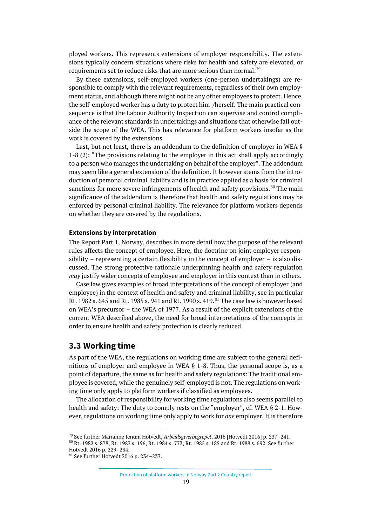ployed workers. This represents extensions of employer responsibility. The extensions typically concern situations where risks for health and safety are elevated, or requirements set to reduce risks that are more serious than normal.<sup>[79](#page-18-1)</sup>

By these extensions, self-employed workers (one-person undertakings) are responsible to comply with the relevant requirements, regardless of their own employment status, and although there might not be any other employees to protect. Hence, the self-employed worker has a duty to protect him-/herself. The main practical consequence is that the Labour Authority Inspection can supervise and control compliance of the relevant standards in undertakings and situations that otherwise fall outside the scope of the WEA. This has relevance for platform workers insofar as the work is covered by the extensions.

Last, but not least, there is an addendum to the definition of employer in WEA § 1-8 (2): "The provisions relating to the employer in this act shall apply accordingly to a person who manages the undertaking on behalf of the employer". The addendum may seem like a general extension of the definition. It however stems from the introduction of personal criminal liability and is in practice applied as a basis for criminal sanctions for more severe infringements of health and safety provisions.  $80$  The main significance of the addendum is therefore that health and safety regulations may be enforced by personal criminal liability. The relevance for platform workers depends on whether they are covered by the regulations.

#### **Extensions by interpretation**

The Report Part 1, Norway, describes in more detail how the purpose of the relevant rules affects the concept of employee. Here, the doctrine on joint employer responsibility – representing a certain flexibility in the concept of employer – is also discussed. The strong protective rationale underpinning health and safety regulation *may* justify wider concepts of employee and employer in this context than in others.

Case law gives examples of broad interpretations of the concept of employer (and employee) in the context of health and safety and criminal liability, see in particular Rt. 1982 s. 645 and Rt. 1985 s. 941 and Rt. 1990 s. 419.<sup>[81](#page-18-3)</sup> The case law is however based on WEA's precursor – the WEA of 1977. As a result of the explicit extensions of the current WEA described above, the need for broad interpretations of the concepts in order to ensure health and safety protection is clearly reduced.

#### <span id="page-18-0"></span>**3.3 Working time**

As part of the WEA, the regulations on working time are subject to the general definitions of employer and employee in WEA § 1-8. Thus, the personal scope is, as a point of departure, the same as for health and safety regulations: The traditional employee is covered, while the genuinely self-employed is not. The regulations on working time only apply to platform workers if classified as employees.

The allocation of responsibility for working time regulations also seems parallel to health and safety: The duty to comply rests on the "employer", cf. WEA § 2-1. However, regulations on working time only apply to work for *one* employer. It is therefore

<span id="page-18-2"></span><span id="page-18-1"></span><sup>79</sup> See further Marianne Jenum Hotvedt, *Arbeidsgiverbegrepet*, 2016 [Hotvedt 2016] p. 237–241. <sup>80</sup> Rt. 1982 s. 878, Rt. 1983 s. 196, Rt. 1984 s. 773, Rt. 1985 s. 185 and Rt. 1988 s. 692. See further Hotvedt 2016 p. 229–234.

<span id="page-18-3"></span><sup>81</sup> See further Hotvedt 2016 p. 234–237.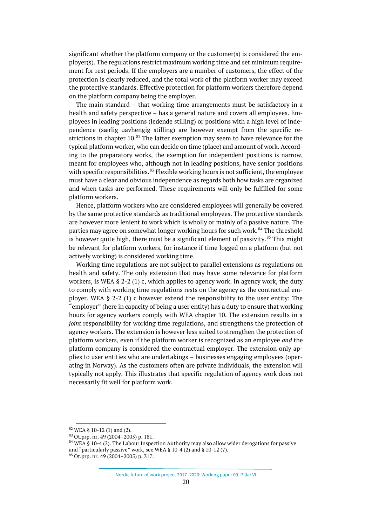significant whether the platform company or the customer(s) is considered the employer(s). The regulations restrict maximum working time and set minimum requirement for rest periods. If the employers are a number of customers, the effect of the protection is clearly reduced, and the total work of the platform worker may exceed the protective standards. Effective protection for platform workers therefore depend on the platform company being the employer.

The main standard – that working time arrangements must be satisfactory in a health and safety perspective – has a general nature and covers all employees. Employees in leading positions (ledende stilling) or positions with a high level of independence (særlig uavhengig stilling) are however exempt from the specific restrictions in chapter  $10.^{82}$  $10.^{82}$  $10.^{82}$  The latter exemption may seem to have relevance for the typical platform worker, who can decide on time (place) and amount of work. According to the preparatory works, the exemption for independent positions is narrow, meant for employees who, although not in leading positions, have senior positions with specific responsibilities. $83$  Flexible working hours is not sufficient, the employee must have a clear and obvious independence as regards both how tasks are organized and when tasks are performed. These requirements will only be fulfilled for some platform workers.

Hence, platform workers who are considered employees will generally be covered by the same protective standards as traditional employees. The protective standards are however more lenient to work which is wholly or mainly of a passive nature. The parties may agree on somewhat longer working hours for such work.<sup>[84](#page-19-2)</sup> The threshold is however quite high, there must be a significant element of passivity.<sup>[85](#page-19-3)</sup> This might be relevant for platform workers, for instance if time logged on a platform (but not actively working) is considered working time.

Working time regulations are not subject to parallel extensions as regulations on health and safety. The only extension that may have some relevance for platform workers, is WEA § 2-2 (1) c, which applies to agency work. In agency work, the duty to comply with working time regulations rests on the agency as the contractual employer. WEA § 2-2 (1) c however extend the responsibility to the user entity: The "employer" (here in capacity of being a user entity) has a duty to ensure that working hours for agency workers comply with WEA chapter 10. The extension results in a *joint* responsibility for working time regulations, and strengthens the protection of agency workers. The extension is however less suited to strengthen the protection of platform workers, even if the platform worker is recognized as an employee *and* the platform company is considered the contractual employer. The extension only applies to user entities who are undertakings – businesses engaging employees (operating in Norway). As the customers often are private individuals, the extension will typically not apply. This illustrates that specific regulation of agency work does not necessarily fit well for platform work.

<span id="page-19-0"></span><sup>82</sup> WEA § 10-12 (1) and (2).

<span id="page-19-1"></span> $83$  Ot.prp. nr. 49 (2004–2005) p. 181.

<span id="page-19-3"></span><span id="page-19-2"></span> $84$  WEA  $\hat{S}$  10-4 (2). The Labour Inspection Authority may also allow wider derogations for passive and "particularly passive" work, see WEA § 10-4 (2) and § 10-12 (7). <sup>85</sup> Ot.prp. nr. 49 (2004–2005) p. 317.

Nordic future of work project 2017–2020: Working paper 09. Pillar VI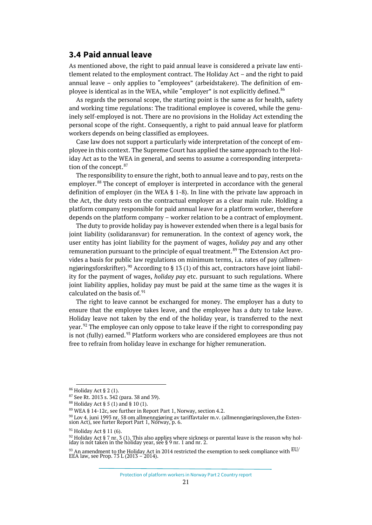### <span id="page-20-0"></span>**3.4 Paid annual leave**

As mentioned above, the right to paid annual leave is considered a private law entitlement related to the employment contract. The Holiday Act – and the right to paid annual leave – only applies to "employees" (arbeidstakere). The definition of em-ployee is identical as in the WEA, while "employer" is not explicitly defined.<sup>[86](#page-20-1)</sup>

As regards the personal scope, the starting point is the same as for health, safety and working time regulations: The traditional employee is covered, while the genuinely self-employed is not. There are no provisions in the Holiday Act extending the personal scope of the right. Consequently, a right to paid annual leave for platform workers depends on being classified as employees.

Case law does not support a particularly wide interpretation of the concept of employee in this context. The Supreme Court has applied the same approach to the Holiday Act as to the WEA in general, and seems to assume a corresponding interpreta-tion of the concept.<sup>[87](#page-20-2)</sup>

The responsibility to ensure the right, both to annual leave and to pay, rests on the employer.[88](#page-20-3) The concept of employer is interpreted in accordance with the general definition of employer (in the WEA § 1-8). In line with the private law approach in the Act, the duty rests on the contractual employer as a clear main rule. Holding a platform company responsible for paid annual leave for a platform worker, therefore depends on the platform company – worker relation to be a contract of employment.

The duty to provide holiday pay is however extended when there is a legal basis for joint liability (solidaransvar) for remuneration. In the context of agency work, the user entity has joint liability for the payment of wages, *holiday pay* and any other remuneration pursuant to the principle of equal treatment.<sup>[89](#page-20-4)</sup> The Extension Act provides a basis for public law regulations on minimum terms, i.a. rates of pay (allmen-ngjøringsforskrifter).<sup>[90](#page-20-5)</sup> According to § 13 (1) of this act, contractors have joint liability for the payment of wages, *holiday pay* etc. pursuant to such regulations. Where joint liability applies, holiday pay must be paid at the same time as the wages it is calculated on the basis of.<sup>[91](#page-20-6)</sup>

The right to leave cannot be exchanged for money. The employer has a duty to ensure that the employee takes leave, and the employee has a duty to take leave. Holiday leave not taken by the end of the holiday year, is transferred to the next year.<sup>[92](#page-20-7)</sup> The employee can only oppose to take leave if the right to corresponding pay is not (fully) earned.<sup>[93](#page-20-8)</sup> Platform workers who are considered employees are thus not free to refrain from holiday leave in exchange for higher remuneration.

<span id="page-20-1"></span><sup>86</sup> Holiday Act § 2 (1).

<span id="page-20-2"></span><sup>87</sup> See Rt. 2013 s. 342 (para. 38 and 39).

<span id="page-20-3"></span> $88$  Holiday Act § 5 (1) and § 10 (1).

<span id="page-20-4"></span><sup>89</sup> WEA § 14-12c, see further in Report Part 1, Norway, section 4.2.

<span id="page-20-5"></span><sup>&</sup>lt;sup>90</sup> Lov 4. juni 1993 nr. 58 om allmenngjøring av tariffavtaler m.v. (allmenngjøringsloven,the Exten-<br>sion Act), see furter Report Part 1, Norway, p. 6.

<span id="page-20-7"></span><span id="page-20-6"></span><sup>&</sup>lt;sup>91</sup> Holiday Act § 11 (6).

<sup>&</sup>lt;sup>92</sup> Holiday Act § 7 nr. 3 (1). This also applies where sickness or parental leave is the reason why hol-<br>iday is not taken in the holiday year, see § 9 nr. 1 and nr. 2.

<span id="page-20-8"></span> $^{93}$  An amendment to the Holiday Act in 2014 restricted the exemption to seek compliance with  $\rm EU/$  EEA law, see Prop. 73 L (2013 – 2014).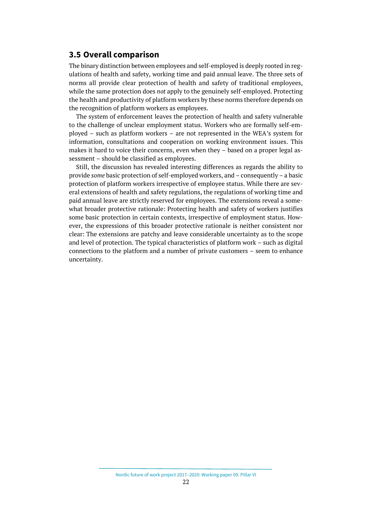#### <span id="page-21-0"></span>**3.5 Overall comparison**

The binary distinction between employees and self-employed is deeply rooted in regulations of health and safety, working time and paid annual leave. The three sets of norms all provide clear protection of health and safety of traditional employees, while the same protection does *not* apply to the genuinely self-employed. Protecting the health and productivity of platform workers by these norms therefore depends on the recognition of platform workers as employees.

The system of enforcement leaves the protection of health and safety vulnerable to the challenge of unclear employment status. Workers who are formally self-employed – such as platform workers – are not represented in the WEA's system for information, consultations and cooperation on working environment issues. This makes it hard to voice their concerns, even when they – based on a proper legal assessment – should be classified as employees.

Still, the discussion has revealed interesting differences as regards the ability to provide *some* basic protection of self-employed workers, and – consequently – a basic protection of platform workers irrespective of employee status. While there are several extensions of health and safety regulations, the regulations of working time and paid annual leave are strictly reserved for employees. The extensions reveal a somewhat broader protective rationale: Protecting health and safety of workers justifies some basic protection in certain contexts, irrespective of employment status. However, the expressions of this broader protective rationale is neither consistent nor clear: The extensions are patchy and leave considerable uncertainty as to the scope and level of protection. The typical characteristics of platform work – such as digital connections to the platform and a number of private customers – seem to enhance uncertainty.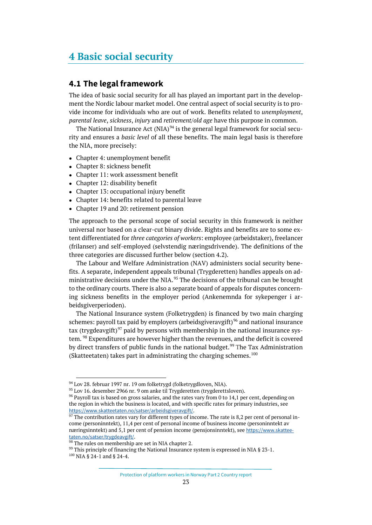## <span id="page-22-0"></span>**4 Basic social security**

### <span id="page-22-1"></span>**4.1 The legal framework**

The idea of basic social security for all has played an important part in the development the Nordic labour market model. One central aspect of social security is to provide income for individuals who are out of work. Benefits related to *unemployment*, *parental leave*, *sickness*, *injury* and *retirement/old age* have this purpose in common.

The National Insurance Act  $(NIA)^{94}$  $(NIA)^{94}$  $(NIA)^{94}$  is the general legal framework for social security and ensures a *basic level* of all these benefits. The main legal basis is therefore the NIA, more precisely:

- Chapter 4: unemployment benefit
- Chapter 8: sickness benefit
- Chapter 11: work assessment benefit
- Chapter 12: disability benefit
- Chapter 13: occupational injury benefit
- Chapter 14: benefits related to parental leave
- Chapter 19 and 20: retirement pension

The approach to the personal scope of social security in this framework is neither universal nor based on a clear-cut binary divide. Rights and benefits are to some extent differentiated for *three categories of workers*: employee (arbeidstaker), freelancer (frilanser) and self-employed (selvstendig næringsdrivende). The definitions of the three categories are discussed further below (section 4.2).

The Labour and Welfare Administration (NAV) administers social security benefits. A separate, independent appeals tribunal (Trygderetten) handles appeals on ad-ministrative decisions under the NIA.<sup>[95](#page-22-3)</sup> The decisions of the tribunal can be brought to the ordinary courts. There is also a separate board of appeals for disputes concerning sickness benefits in the employer period (Ankenemnda for sykepenger i arbeidsgiverperioden).

The National Insurance system (Folketrygden) is financed by two main charging schemes: payroll tax paid by employers (arbeidsgiveravgift)<sup>[96](#page-22-4)</sup> and national insurance tax (trygdeavgift)<sup>[97](#page-22-5)</sup> paid by persons with membership in the national insurance sys-tem. <sup>[98](#page-22-6)</sup> Expenditures are however higher than the revenues, and the deficit is covered by direct transfers of public funds in the national budget.<sup>[99](#page-22-7)</sup> The Tax Administration (Skatteetaten) takes part in administrating the charging schemes. $100$ 

<span id="page-22-2"></span><sup>&</sup>lt;sup>94</sup> Lov 28. februar 1997 nr. 19 om folketrygd (folketrygdloven, NIA).

<span id="page-22-4"></span><span id="page-22-3"></span><sup>&</sup>lt;sup>95</sup> Lov 16. desember 2966 nr. 9 om anke til Trygderetten (trygderettsloven).

 $96$  Payroll tax is based on gross salaries, and the rates vary from 0 to 14,1 per cent, depending on the region in which the business is located, and with specific rates for primary industries, see <https://www.skatteetaten.no/satser/arbeidsgiveravgift/>.

<span id="page-22-5"></span> $97$  The contribution rates vary for different types of income. The rate is 8,2 per cent of personal income (personinntekt), 11,4 per cent of personal income of business income (personinntekt av næringsinntekt) and 5,1 per cent of pension income (pensjonsinntekt), see [https://www.skattee](https://www.skatteetaten.no/satser/trygdeavgift/)[taten.no/satser/trygdeavgift/](https://www.skatteetaten.no/satser/trygdeavgift/).

<span id="page-22-6"></span><sup>&</sup>lt;sup>98</sup> The rules on membership are set in NIA chapter 2.

<span id="page-22-7"></span> $99$  This principle of financing the National Insurance system is expressed in NIA § 23-1.

<span id="page-22-8"></span><sup>100</sup> NIA § 24-1 and § 24-4.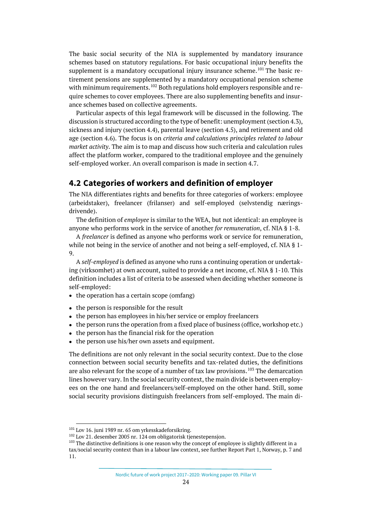The basic social security of the NIA is supplemented by mandatory insurance schemes based on statutory regulations. For basic occupational injury benefits the supplement is a mandatory occupational injury insurance scheme.<sup>[101](#page-23-1)</sup> The basic retirement pensions are supplemented by a mandatory occupational pension scheme with minimum requirements.<sup>[102](#page-23-2)</sup> Both regulations hold employers responsible and require schemes to cover employees. There are also supplementing benefits and insurance schemes based on collective agreements.

Particular aspects of this legal framework will be discussed in the following. The discussion is structured according to the type of benefit: unemployment (section 4.3), sickness and injury (section 4.4), parental leave (section 4.5), and retirement and old age (section 4.6). The focus is on *criteria and calculations principles related to labour market activity*. The aim is to map and discuss how such criteria and calculation rules affect the platform worker, compared to the traditional employee and the genuinely self-employed worker. An overall comparison is made in section 4.7.

#### <span id="page-23-0"></span>**4.2 Categories of workers and definition of employer**

The NIA differentiates rights and benefits for three categories of workers: employee (arbeidstaker), freelancer (frilanser) and self-employed (selvstendig næringsdrivende).

The definition of *employee* is similar to the WEA, but not identical: an employee is anyone who performs work in the service of another *for remuneration*, cf. NIA § 1-8.

A *freelancer* is defined as anyone who performs work or service for remuneration, while not being in the service of another and not being a self-employed, cf. NIA § 1- 9.

A *self-employed* is defined as anyone who runs a continuing operation or undertaking (virksomhet) at own account, suited to provide a net income, cf. NIA § 1-10. This definition includes a list of criteria to be assessed when deciding whether someone is self-employed:

- the operation has a certain scope (omfang)
- the person is responsible for the result
- the person has employees in his/her service or employ freelancers
- the person runs the operation from a fixed place of business (office, workshop etc.)
- the person has the financial risk for the operation
- the person use his/her own assets and equipment.

The definitions are not only relevant in the social security context. Due to the close connection between social security benefits and tax-related duties, the definitions are also relevant for the scope of a number of tax law provisions.<sup>[103](#page-23-3)</sup> The demarcation lines however vary. In the social security context, the main divide is between employees on the one hand and freelancers/self-employed on the other hand. Still, some social security provisions distinguish freelancers from self-employed. The main di-

<span id="page-23-1"></span><sup>101</sup> Lov 16. juni 1989 nr. 65 om yrkesskadeforsikring.

<span id="page-23-2"></span><sup>102</sup> Lov 21. desember 2005 nr. 124 om obligatorisk tjenestepensjon.

<span id="page-23-3"></span> $103$  The distinctive definitions is one reason why the concept of employee is slightly different in a tax/social security context than in a labour law context, see further Report Part 1, Norway, p. 7 and 11.

Nordic future of work project 2017–2020: Working paper 09. Pillar VI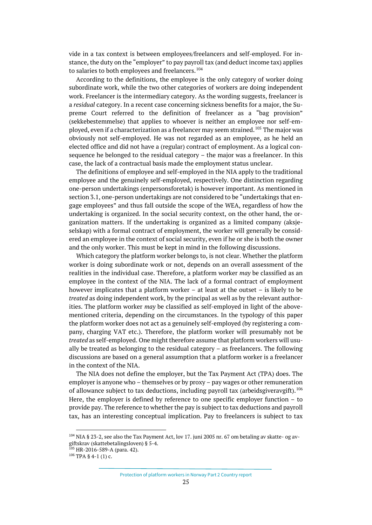vide in a tax context is between employees/freelancers and self-employed. For instance, the duty on the "employer" to pay payroll tax (and deduct income tax) applies to salaries to both employees and freelancers.<sup>[104](#page-24-0)</sup>

According to the definitions, the employee is the only category of worker doing subordinate work, while the two other categories of workers are doing independent work. Freelancer is the intermediary category. As the wording suggests, freelancer is a *residual* category. In a recent case concerning sickness benefits for a major, the Supreme Court referred to the definition of freelancer as a "bag provision" (sekkebestemmelse) that applies to whoever is neither an employee nor self-em-ployed, even if a characterization as a freelancer may seem strained.<sup>[105](#page-24-1)</sup> The major was obviously not self-employed. He was not regarded as an employee, as he held an elected office and did not have a (regular) contract of employment. As a logical consequence he belonged to the residual category – the major was a freelancer. In this case, the lack of a contractual basis made the employment status unclear.

The definitions of employee and self-employed in the NIA apply to the traditional employee and the genuinely self-employed, respectively. One distinction regarding one-person undertakings (enpersonsforetak) is however important. As mentioned in section 3.1, one-person undertakings are not considered to be "undertakings that engage employees" and thus fall outside the scope of the WEA, regardless of how the undertaking is organized. In the social security context, on the other hand, the organization matters. If the undertaking is organized as a limited company (aksjeselskap) with a formal contract of employment, the worker will generally be considered an employee in the context of social security, even if he or she is both the owner and the only worker. This must be kept in mind in the following discussions.

Which category the platform worker belongs to, is not clear. Whether the platform worker is doing subordinate work or not, depends on an overall assessment of the realities in the individual case. Therefore, a platform worker *may* be classified as an employee in the context of the NIA. The lack of a formal contract of employment however implicates that a platform worker – at least at the outset – is likely to be *treated* as doing independent work, by the principal as well as by the relevant authorities. The platform worker *may* be classified as self-employed in light of the abovementioned criteria, depending on the circumstances. In the typology of this paper the platform worker does not act as a genuinely self-employed (by registering a company, charging VAT etc.). Therefore, the platform worker will presumably not be *treated* as self-employed. One might therefore assume that platform workers will usually be treated as belonging to the residual category – as freelancers. The following discussions are based on a general assumption that a platform worker is a freelancer in the context of the NIA.

The NIA does not define the employer, but the Tax Payment Act (TPA) does. The employer is anyone who – themselves or by proxy – pay wages or other remuneration of allowance subject to tax deductions, including payroll tax (arbeidsgiveravgift). <sup>[106](#page-24-2)</sup> Here, the employer is defined by reference to one specific employer function – to provide pay. The reference to whether the pay is subject to tax deductions and payroll tax, has an interesting conceptual implication. Pay to freelancers is subject to tax

<span id="page-24-0"></span><sup>104</sup> NIA § 23-2, see also the Tax Payment Act, lov 17. juni 2005 nr. 67 om betaling av skatte- og avgiftskrav (skattebetalingsloven) § 5-4.

<span id="page-24-1"></span> $105$  HR-2016-589-A (para. 42).

<span id="page-24-2"></span> $106$  TPA § 4-1 (1) c.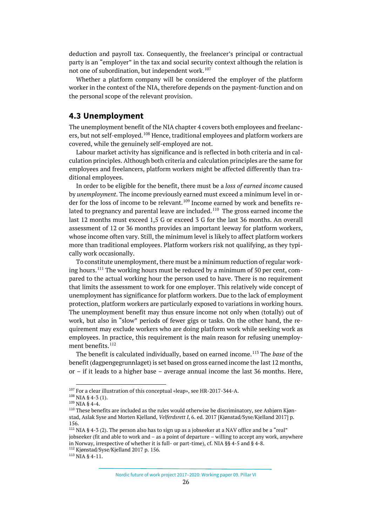deduction and payroll tax. Consequently, the freelancer's principal or contractual party is an "employer" in the tax and social security context although the relation is not one of subordination, but independent work.<sup>[107](#page-25-1)</sup>

Whether a platform company will be considered the employer of the platform worker in the context of the NIA, therefore depends on the payment-function and on the personal scope of the relevant provision.

#### <span id="page-25-0"></span>**4.3 Unemployment**

The unemployment benefit of the NIA chapter 4 covers both employees and freelanc-ers, but not self-employed.<sup>[108](#page-25-2)</sup> Hence, traditional employees and platform workers are covered, while the genuinely self-employed are not.

Labour market activity has significance and is reflected in both criteria and in calculation principles. Although both criteria and calculation principles are the same for employees and freelancers, platform workers might be affected differently than traditional employees.

In order to be eligible for the benefit, there must be a *loss of earned income* caused by *unemployment*. The income previously earned must exceed a minimum level in order for the loss of income to be relevant.[109](#page-25-3) Income earned by work and benefits related to pregnancy and parental leave are included.<sup>110</sup> The gross earned income the last 12 months must exceed 1,5 G or exceed 3 G for the last 36 months. An overall assessment of 12 or 36 months provides an important leeway for platform workers, whose income often vary. Still, the minimum level is likely to affect platform workers more than traditional employees. Platform workers risk not qualifying, as they typically work occasionally.

To constitute unemployment, there must be a minimum reduction of regular work-ing hours.<sup>[111](#page-25-5)</sup> The working hours must be reduced by a minimum of 50 per cent, compared to the actual working hour the person used to have. There is no requirement that limits the assessment to work for one employer. This relatively wide concept of unemployment has significance for platform workers. Due to the lack of employment protection, platform workers are particularly exposed to variations in working hours. The unemployment benefit may thus ensure income not only when (totally) out of work, but also in "slow" periods of fewer gigs or tasks. On the other hand, the requirement may exclude workers who are doing platform work while seeking work as employees. In practice, this requirement is the main reason for refusing unemployment benefits. $112$ 

The benefit is calculated individually, based on earned income.[113](#page-25-7) The *base* of the benefit (dagpengegrunnlaget) is set based on gross earned income the last 12 months, or – if it leads to a higher base – average annual income the last 36 months. Here,

<span id="page-25-1"></span><sup>&</sup>lt;sup>107</sup> For a clear illustration of this conceptual «leap», see HR-2017-344-A.

<span id="page-25-2"></span> $108$  NIA § 4-3 (1).

<span id="page-25-3"></span><sup>109</sup> NIA § 4-4.

<span id="page-25-4"></span><sup>&</sup>lt;sup>110</sup> These benefits are included as the rules would otherwise be discriminatory, see Asbjørn Kjønstad, Aslak Syse and Morten Kjelland, *Velferdsrett I*, 6. ed. 2017 [Kjønstad/Syse/Kjelland 2017] p. 156.

<span id="page-25-5"></span><sup>&</sup>lt;sup>111</sup> NIA § 4-3 (2). The person also has to sign up as a jobseeker at a NAV office and be a "real" jobseeker (fit and able to work and – as a point of departure – willing to accept any work, anywhere in Norway, irrespective of whether it is full- or part-time), cf. NIA §§ 4-5 and § 4-8. <sup>112</sup> Kjønstad/Syse/Kjelland 2017 p. 156.

<span id="page-25-7"></span><span id="page-25-6"></span><sup>113</sup> NIA § 4-11.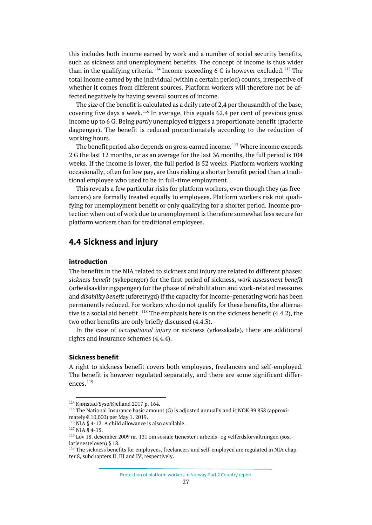this includes both income earned by work and a number of social security benefits, such as sickness and unemployment benefits. The concept of income is thus wider than in the qualifying criteria.<sup>[114](#page-26-1)</sup> Income exceeding 6 G is however excluded.<sup>[115](#page-26-2)</sup> The total income earned by the individual (within a certain period) counts, irrespective of whether it comes from different sources. Platform workers will therefore not be affected negatively by having several sources of income.

The *size* of the benefit is calculated as a daily rate of 2,4 per thousandth of the base, covering five days a week.<sup>[116](#page-26-3)</sup> In average, this equals  $62.4$  per cent of previous gross income up to 6 G. Being *partly* unemployed triggers a proportionate benefit (graderte dagpenger). The benefit is reduced proportionately according to the reduction of working hours.

The benefit period also depends on gross earned income.<sup>[117](#page-26-4)</sup> Where income exceeds 2 G the last 12 months, or as an average for the last 36 months, the full period is 104 weeks. If the income is lower, the full period is 52 weeks. Platform workers working occasionally, often for low pay, are thus risking a shorter benefit period than a traditional employee who used to be in full-time employment.

This reveals a few particular risks for platform workers, even though they (as freelancers) are formally treated equally to employees. Platform workers risk not qualifying for unemployment benefit or only qualifying for a shorter period. Income protection when out of work due to unemployment is therefore somewhat less secure for platform workers than for traditional employees.

## <span id="page-26-0"></span>**4.4 Sickness and injury**

#### **introduction**

The benefits in the NIA related to sickness and injury are related to different phases: *sickness benefit* (sykepenger) for the first period of sickness, *work assessment benefit* (arbeidsavklaringspenger) for the phase of rehabilitation and work-related measures and *disability benefit* (uføretrygd) if the capacity for income-generating work has been permanently reduced. For workers who do not qualify for these benefits, the alternative is a social aid benefit.  $118$  The emphasis here is on the sickness benefit (4.4.2), the two other benefits are only briefly discussed (4.4.3).

In the case of *occupational injury* or sickness (yrkesskade), there are additional rights and insurance schemes (4.4.4).

#### **Sickness benefit**

A right to sickness benefit covers both employees, freelancers and self-employed. The benefit is however regulated separately, and there are some significant differences.[119](#page-26-6)

<span id="page-26-1"></span><sup>114</sup> Kjønstad/Syse/Kjelland 2017 p. 164.

<span id="page-26-2"></span> $115$  The National Insurance basic amount (G) is adjusted annually and is NOK 99 858 (approximately € 10,000) per May 1. 2019.

<span id="page-26-4"></span><span id="page-26-3"></span><sup>116</sup> NIA § 4-12. A child allowance is also available.

<sup>117</sup> NIA § 4-15.

<span id="page-26-5"></span><sup>118</sup> Lov 18. desember 2009 nr. 131 om sosiale tjenester i arbeids- og velferdsforvaltningen (sosilatienesteloven) § 18.

<span id="page-26-6"></span><sup>&</sup>lt;sup>119</sup> The sickness benefits for employees, freelancers and self-employed are regulated in NIA chapter 8, subchapters II, III and IV, respectively.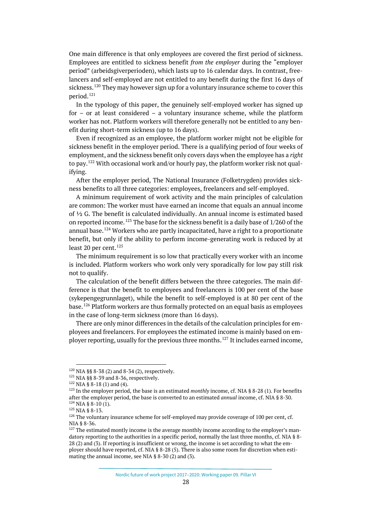One main difference is that only employees are covered the first period of sickness. Employees are entitled to sickness benefit *from the employer* during the "employer period" (arbeidsgiverperioden), which lasts up to 16 calendar days. In contrast, freelancers and self-employed are not entitled to any benefit during the first 16 days of sickness.<sup>[120](#page-27-0)</sup> They may however sign up for a voluntary insurance scheme to cover this period.[121](#page-27-1)

In the typology of this paper, the genuinely self-employed worker has signed up for – or at least considered – a voluntary insurance scheme, while the platform worker has not. Platform workers will therefore generally not be entitled to any benefit during short-term sickness (up to 16 days).

Even if recognized as an employee, the platform worker might not be eligible for sickness benefit in the employer period. There is a qualifying period of four weeks of employment, and the sickness benefit only covers days when the employee has a *right* to pay.<sup>[122](#page-27-2)</sup> With occasional work and/or hourly pay, the platform worker risk not qualifying.

After the employer period, The National Insurance (Folketrygden) provides sickness benefits to all three categories: employees, freelancers and self-employed.

A minimum requirement of work activity and the main principles of calculation are common: The worker must have earned an income that equals an annual income of ½ G. The benefit is calculated individually. An annual income is estimated based on reported income.<sup>[123](#page-27-3)</sup> The base for the sickness benefit is a daily base of  $1/260$  of the annual base.[124](#page-27-4) Workers who are partly incapacitated, have a right to a proportionate benefit, but only if the ability to perform income-generating work is reduced by at least 20 per cent. $125$ 

The minimum requirement is so low that practically every worker with an income is included. Platform workers who work only very sporadically for low pay still risk not to qualify.

The calculation of the benefit differs between the three categories. The main difference is that the benefit to employees and freelancers is 100 per cent of the base (sykepengegrunnlaget), while the benefit to self-employed is at 80 per cent of the base.[126](#page-27-6) Platform workers are thus formally protected on an equal basis as employees in the case of long-term sickness (more than 16 days).

There are only minor differences in the details of the calculation principles for employees and freelancers. For employees the estimated income is mainly based on em-ployer reporting, usually for the previous three months.<sup>[127](#page-27-7)</sup> It includes earned income,

<span id="page-27-0"></span> $120$  NIA §§ 8-38 (2) and 8-34 (2), respectively.

<span id="page-27-1"></span> $121$  NIA §§ 8-39 and 8-36, respectively.

<span id="page-27-2"></span><sup>122</sup> NIA § 8-18 (1) and (4).

<span id="page-27-3"></span><sup>123</sup> In the employer period, the base is an estimated *monthly* income, cf. NIA § 8-28 (1). For benefits after the employer period, the base is converted to an estimated *annual* income, cf. NIA § 8-30.  $124$  NIA § 8-10 (1).

<span id="page-27-5"></span><span id="page-27-4"></span> $^{125}$  NIA § 8-13.

<span id="page-27-6"></span> $126$  The voluntary insurance scheme for self-employed may provide coverage of 100 per cent, cf. NIA § 8-36.

<span id="page-27-7"></span> $127$  The estimated montly income is the average monthly income according to the employer's mandatory reporting to the authorities in a specific period, normally the last three months, cf. NIA § 8- 28 (2) and (3). If reporting is insufficient or wrong, the income is set according to what the employer should have reported, cf. NIA § 8-28 (5). There is also some room for discretion when estimating the annual income, see NIA § 8-30 (2) and (3).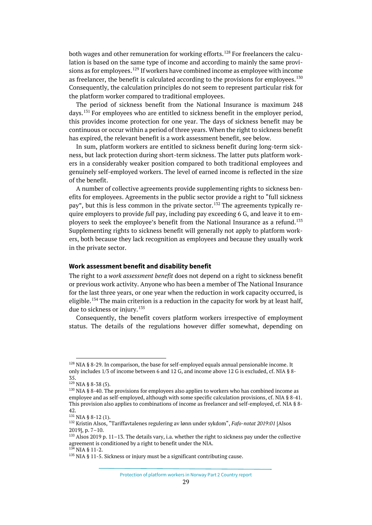both wages and other remuneration for working efforts.<sup>[128](#page-28-0)</sup> For freelancers the calculation is based on the same type of income and according to mainly the same provi-sions as for employees.<sup>[129](#page-28-1)</sup> If workers have combined income as employee with income as freelancer, the benefit is calculated according to the provisions for employees.<sup>[130](#page-28-2)</sup> Consequently, the calculation principles do not seem to represent particular risk for the platform worker compared to traditional employees.

The period of sickness benefit from the National Insurance is maximum 248 days.<sup>[131](#page-28-3)</sup> For employees who are entitled to sickness benefit in the employer period, this provides income protection for one year. The days of sickness benefit may be continuous or occur within a period of three years. When the right to sickness benefit has expired, the relevant benefit is a work assessment benefit, see below.

In sum, platform workers are entitled to sickness benefit during long-term sickness, but lack protection during short-term sickness. The latter puts platform workers in a considerably weaker position compared to both traditional employees and genuinely self-employed workers. The level of earned income is reflected in the size of the benefit.

A number of collective agreements provide supplementing rights to sickness benefits for employees. Agreements in the public sector provide a right to "full sickness pay", but this is less common in the private sector.<sup>[132](#page-28-4)</sup> The agreements typically require employers to provide *full* pay, including pay exceeding 6 G, and leave it to em-ployers to seek the employee's benefit from the National Insurance as a refund.<sup>[133](#page-28-5)</sup> Supplementing rights to sickness benefit will generally not apply to platform workers, both because they lack recognition as employees and because they usually work in the private sector.

#### **Work assessment benefit and disability benefit**

The right to a *work assessment benefit* does not depend on a right to sickness benefit or previous work activity. Anyone who has been a member of The National Insurance for the last three years, or one year when the reduction in work capacity occurred, is eligible.<sup>[134](#page-28-6)</sup> The main criterion is a reduction in the capacity for work by at least half, due to sickness or injury.<sup>[135](#page-28-7)</sup>

Consequently, the benefit covers platform workers irrespective of employment status. The details of the regulations however differ somewhat, depending on

<span id="page-28-0"></span> $128$  NIA § 8-29. In comparison, the base for self-employed equals annual pensionable income. It only includes 1/3 of income between 6 and 12 G, and income above 12 G is excluded, cf. NIA § 8- 35.

<span id="page-28-1"></span><sup>129</sup> NIA § 8-38 (5).

<span id="page-28-2"></span> $130$  NIA § 8-40. The provisions for employees also applies to workers who has combined income as employee and as self-employed, although with some specific calculation provisions, cf. NIA § 8-41. This provision also applies to combinations of income as freelancer and self-employed, cf. NIA § 8- 42.

<span id="page-28-3"></span> $131$  NIA § 8-12 (1).

<span id="page-28-4"></span><sup>132</sup> Kristin Alsos, "Tariffavtalenes regulering av lønn under sykdom", *Fafo-notat 2019:01* [Alsos 2019], p. 7–10.

<span id="page-28-5"></span><sup>&</sup>lt;sup>133</sup> Alsos 2019 p. 11–13. The details vary, i.a. whether the right to sickness pay under the collective agreement is conditioned by a right to benefit under the NIA.  $134$  NIA  $$11-2$ .

<span id="page-28-7"></span><span id="page-28-6"></span> $135$  NIA § 11-5. Sickness or injury must be a significant contributing cause.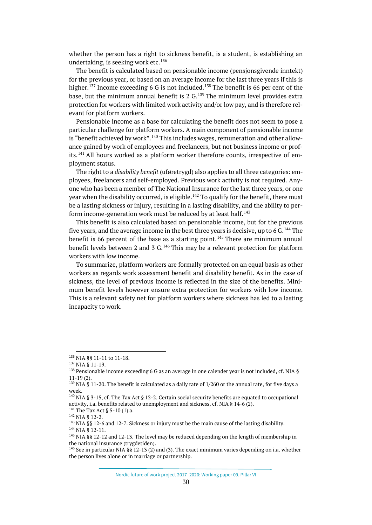whether the person has a right to sickness benefit, is a student, is establishing an undertaking, is seeking work etc. $136$ 

The benefit is calculated based on pensionable income (pensjonsgivende inntekt) for the previous year, or based on an average income for the last three years if this is higher.<sup>[137](#page-29-1)</sup> Income exceeding 6 G is not included.<sup>[138](#page-29-2)</sup> The benefit is 66 per cent of the base, but the minimum annual benefit is 2  $G<sub>139</sub>$  $G<sub>139</sub>$  $G<sub>139</sub>$  The minimum level provides extra protection for workers with limited work activity and/or low pay, and is therefore relevant for platform workers.

Pensionable income as a base for calculating the benefit does not seem to pose a particular challenge for platform workers. A main component of pensionable income is "benefit achieved by work".<sup>[140](#page-29-4)</sup> This includes wages, remuneration and other allowance gained by work of employees and freelancers, but not business income or prof-its.<sup>[141](#page-29-5)</sup> All hours worked as a platform worker therefore counts, irrespective of employment status.

The right to a *disability benefit* (uføretrygd) also applies to all three categories: employees, freelancers and self-employed. Previous work activity is not required. Anyone who has been a member of The National Insurance for the last three years, or one year when the disability occurred, is eligible.<sup>[142](#page-29-6)</sup> To qualify for the benefit, there must be a lasting sickness or injury, resulting in a lasting disability, and the ability to per-form income-generation work must be reduced by at least half.<sup>[143](#page-29-7)</sup>

This benefit is also calculated based on pensionable income, but for the previous five years, and the average income in the best three years is decisive, up to 6 G.  $^{144}$  $^{144}$  $^{144}$  The benefit is 66 percent of the base as a starting point.<sup>[145](#page-29-9)</sup> There are minimum annual benefit levels between 2 and 3 G.<sup>[146](#page-29-10)</sup> This may be a relevant protection for platform workers with low income.

To summarize, platform workers are formally protected on an equal basis as other workers as regards work assessment benefit and disability benefit. As in the case of sickness, the level of previous income is reflected in the size of the benefits. Minimum benefit levels however ensure extra protection for workers with low income. This is a relevant safety net for platform workers where sickness has led to a lasting incapacity to work.

<span id="page-29-0"></span><sup>136</sup> NIA §§ 11-11 to 11-18.

<span id="page-29-1"></span><sup>137</sup> NIA § 11-19.

<span id="page-29-2"></span><sup>&</sup>lt;sup>138</sup> Pensionable income exceeding 6 G as an average in one calender year is not included, cf. NIA §  $11 - 19(2)$ .

<span id="page-29-3"></span><sup>&</sup>lt;sup>139</sup> NIA § 11-20. The benefit is calculated as a daily rate of 1/260 or the annual rate, for five days a week.

<span id="page-29-4"></span><sup>&</sup>lt;sup>140</sup> NIA § 3-15, cf. The Tax Act § 12-2. Certain social security benefits are equated to occupational activity, i.a. benefits related to unemployment and sickness, cf. NIA § 14-6 (2).

<span id="page-29-5"></span> $141$  The Tax Act § 5-10 (1) a.

<span id="page-29-6"></span><sup>142</sup> NIA § 12-2.

<span id="page-29-7"></span><sup>&</sup>lt;sup>143</sup> NIA §§ 12-6 and 12-7. Sickness or injury must be the main cause of the lasting disability. <sup>144</sup> NIA § 12-11.

<span id="page-29-9"></span><span id="page-29-8"></span><sup>&</sup>lt;sup>145</sup> NIA §§ 12-12 and 12-13. The level may be reduced depending on the length of membership in the national insurance (trygdetiden).

<span id="page-29-10"></span><sup>&</sup>lt;sup>146</sup> See in particular NIA §§ 12-13 (2) and (3). The exact minimum varies depending on i.a. whether the person lives alone or in marriage or partnership.

Nordic future of work project 2017–2020: Working paper 09. Pillar VI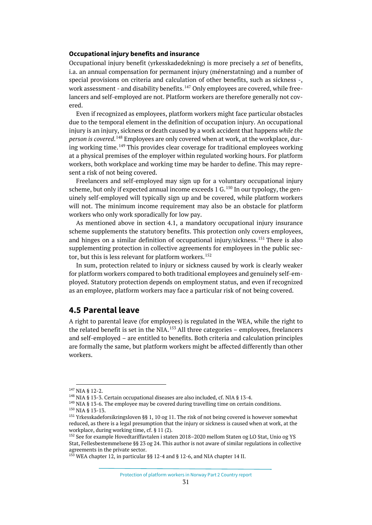#### **Occupational injury benefits and insurance**

Occupational injury benefit (yrkesskadedekning) is more precisely a *set* of benefits, i.a. an annual compensation for permanent injury (ménerstatning) and a number of special provisions on criteria and calculation of other benefits, such as sickness -, work assessment - and disability benefits.  $^{147}$  $^{147}$  $^{147}$  Only employees are covered, while freelancers and self-employed are not. Platform workers are therefore generally not covered.

Even if recognized as employees, platform workers might face particular obstacles due to the temporal element in the definition of occupation injury. An occupational injury is an injury, sickness or death caused by a work accident that happens *while the person is covered*. [148](#page-30-2) Employees are only covered when at work, at the workplace, dur-ing working time.<sup>[149](#page-30-3)</sup> This provides clear coverage for traditional employees working at a physical premises of the employer within regulated working hours. For platform workers, both workplace and working time may be harder to define. This may represent a risk of not being covered.

Freelancers and self-employed may sign up for a voluntary occupational injury scheme, but only if expected annual income exceeds  $1 \text{ G}$ .<sup>[150](#page-30-4)</sup> In our typology, the genuinely self-employed will typically sign up and be covered, while platform workers will not. The minimum income requirement may also be an obstacle for platform workers who only work sporadically for low pay.

As mentioned above in section 4.1, a mandatory occupational injury insurance scheme supplements the statutory benefits. This protection only covers employees, and hinges on a similar definition of occupational injury/sickness.<sup>[151](#page-30-5)</sup> There is also supplementing protection in collective agreements for employees in the public sec-tor, but this is less relevant for platform workers.<sup>[152](#page-30-6)</sup>

In sum, protection related to injury or sickness caused by work is clearly weaker for platform workers compared to both traditional employees and genuinely self-employed. Statutory protection depends on employment status, and even if recognized as an employee, platform workers may face a particular risk of not being covered.

### <span id="page-30-0"></span>**4.5 Parental leave**

A right to parental leave (for employees) is regulated in the WEA, while the right to the related benefit is set in the NIA.<sup>[153](#page-30-7)</sup> All three categories – employees, freelancers and self-employed – are entitled to benefits. Both criteria and calculation principles are formally the same, but platform workers might be affected differently than other workers.

<span id="page-30-1"></span> $147$  NIA § 12-2.

<span id="page-30-2"></span><sup>&</sup>lt;sup>148</sup> NIA § 13-3. Certain occupational diseases are also included, cf. NIA § 13-4.

<span id="page-30-3"></span> $149$  NIA § 13-6. The employee may be covered during travelling time on certain conditions.

<span id="page-30-4"></span><sup>150</sup> NIA § 13-13.

<span id="page-30-5"></span><sup>&</sup>lt;sup>151</sup> Yrkesskadeforsikringsloven §§ 1, 10 og 11. The risk of not being covered is however somewhat reduced, as there is a legal presumption that the injury or sickness is caused when at work, at the workplace, during working time, cf. § 11 (2).

<span id="page-30-6"></span><sup>152</sup> See for example Hovedtariffavtalen i staten 2018–2020 mellom Staten og LO Stat, Unio og YS Stat, Fellesbestemmelsene §§ 23 og 24. This author is not aware of similar regulations in collective agreements in the private sector.

<span id="page-30-7"></span><sup>153</sup> WEA chapter 12, in particular §§ 12-4 and § 12-6, and NIA chapter 14 II.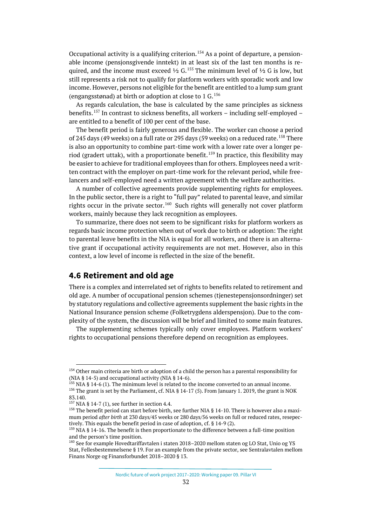Occupational activity is a qualifying criterion.<sup>[154](#page-31-1)</sup> As a point of departure, a pensionable income (pensjonsgivende inntekt) in at least six of the last ten months is required, and the income must exceed  $\frac{1}{2}$  G.<sup>[155](#page-31-2)</sup> The minimum level of  $\frac{1}{2}$  G is low, but still represents a risk not to qualify for platform workers with sporadic work and low income. However, persons not eligible for the benefit are entitled to a lump sum grant (engangsstønad) at birth or adoption at close to 1 G.  $156$ 

As regards calculation, the base is calculated by the same principles as sickness benefits.<sup>[157](#page-31-4)</sup> In contrast to sickness benefits, all workers – including self-employed – are entitled to a benefit of 100 per cent of the base.

The benefit period is fairly generous and flexible. The worker can choose a period of 245 days (49 weeks) on a full rate or 295 days (59 weeks) on a reduced rate.<sup>[158](#page-31-5)</sup> There is also an opportunity to combine part-time work with a lower rate over a longer pe-riod (gradert uttak), with a proportionate benefit.<sup>[159](#page-31-6)</sup> In practice, this flexibility may be easier to achieve for traditional employees than for others. Employees need a written contract with the employer on part-time work for the relevant period, while freelancers and self-employed need a written agreement with the welfare authorities.

A number of collective agreements provide supplementing rights for employees. In the public sector, there is a right to "full pay" related to parental leave, and similar rights occur in the private sector.<sup>[160](#page-31-7)</sup> Such rights will generally not cover platform workers, mainly because they lack recognition as employees.

To summarize, there does not seem to be significant risks for platform workers as regards basic income protection when out of work due to birth or adoption: The right to parental leave benefits in the NIA is equal for all workers, and there is an alternative grant if occupational activity requirements are not met. However, also in this context, a low level of income is reflected in the size of the benefit.

#### <span id="page-31-0"></span>**4.6 Retirement and old age**

There is a complex and interrelated set of rights to benefits related to retirement and old age. A number of occupational pension schemes (tjenestepensjonsordninger) set by statutory regulations and collective agreements supplement the basic rights in the National Insurance pension scheme (Folketrygdens alderspensjon). Due to the complexity of the system, the discussion will be brief and limited to some main features.

The supplementing schemes typically only cover employees. Platform workers' rights to occupational pensions therefore depend on recognition as employees.

<span id="page-31-1"></span><sup>154</sup> Other main criteria are birth or adoption of a child the person has a parental responsibility for (NIA § 14-5) and occupational activity (NIA § 14-6).

<span id="page-31-3"></span><span id="page-31-2"></span><sup>155</sup> NIA § 14-6 (1). The minimum level is related to the income converted to an annual income. <sup>156</sup> The grant is set by the Parliament, cf. NIA  $\S$  14-17 (5). From January 1. 2019, the grant is NOK 83.140.

<span id="page-31-4"></span><sup>&</sup>lt;sup>157</sup> NIA § 14-7 (1), see further in section 4.4.

<span id="page-31-5"></span><sup>&</sup>lt;sup>158</sup> The benefit period can start before birth, see further NIA § 14-10. There is however also a maximum period *after birth* at 230 days/45 weeks or 280 days/56 weeks on full or reduced rates, resepectively. This equals the benefit period in case of adoption, cf. § 14-9 (2).

<span id="page-31-6"></span><sup>&</sup>lt;sup>159</sup> NIA § 14-16. The benefit is then proportionate to the difference between a full-time position and the person's time position.

<span id="page-31-7"></span><sup>160</sup> See for example Hovedtariffavtalen i staten 2018–2020 mellom staten og LO Stat, Unio og YS Stat, Fellesbestemmelsene § 19. For an example from the private sector, see Sentralavtalen mellom Finans Norge og Finansforbundet 2018–2020 § 13.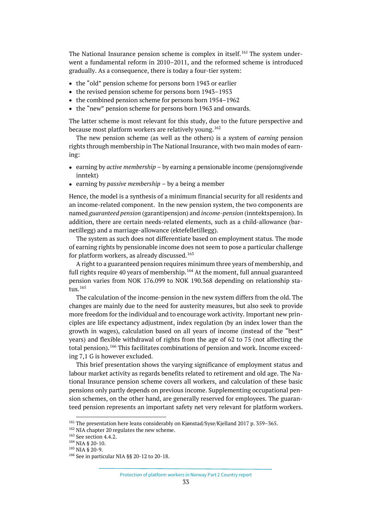The National Insurance pension scheme is complex in itself.<sup>[161](#page-32-0)</sup> The system underwent a fundamental reform in 2010–2011, and the reformed scheme is introduced gradually. As a consequence, there is today a four-tier system:

- the "old" pension scheme for persons born 1943 or earlier
- the revised pension scheme for persons born 1943–1953
- the combined pension scheme for persons born 1954–1962
- the "new" pension scheme for persons born 1963 and onwards.

The latter scheme is most relevant for this study, due to the future perspective and because most platform workers are relatively young.<sup>[162](#page-32-1)</sup>

The new pension scheme (as well as the others) is a system of *earning* pension rights through membership in The National Insurance, with two main modes of earning:

- earning by *active membership* by earning a pensionable income (pensjonsgivende inntekt)
- earning by *passive membership* by a being a member

Hence, the model is a synthesis of a minimum financial security for all residents and an income-related component. In the new pension system, the two components are named *guaranteed pension* (garantipensjon) and *income-pension* (inntektspensjon). In addition, there are certain needs-related elements, such as a child-allowance (barnetillegg) and a marriage-allowance (ektefelletillegg).

The system as such does not differentiate based on employment status. The mode of earning rights by pensionable income does not seem to pose a particular challenge for platform workers, as already discussed.<sup>[163](#page-32-2)</sup>

A right to a guaranteed pension requires minimum three years of membership, and full rights require 40 years of membership.<sup>[164](#page-32-3)</sup> At the moment, full annual guaranteed pension varies from NOK 176.099 to NOK 190.368 depending on relationship status.[165](#page-32-4)

The calculation of the income-pension in the new system differs from the old. The changes are mainly due to the need for austerity measures, but also seek to provide more freedom for the individual and to encourage work activity. Important new principles are life expectancy adjustment, index regulation (by an index lower than the growth in wages), calculation based on all years of income (instead of the "best" years) and flexible withdrawal of rights from the age of 62 to 75 (not affecting the total pension).[166](#page-32-5) This facilitates combinations of pension and work. Income exceeding 7,1 G is however excluded.

This brief presentation shows the varying significance of employment status and labour market activity as regards benefits related to retirement and old age. The National Insurance pension scheme covers all workers, and calculation of these basic pensions only partly depends on previous income. Supplementing occupational pension schemes, on the other hand, are generally reserved for employees. The guaranteed pension represents an important safety net very relevant for platform workers.

<span id="page-32-0"></span><sup>161</sup> The presentation here leans considerably on Kjønstad/Syse/Kjelland 2017 p. 359–365.

<span id="page-32-1"></span><sup>&</sup>lt;sup>162</sup> NIA chapter 20 regulates the new scheme.

<span id="page-32-2"></span><sup>163</sup> See section 4.4.2.

<span id="page-32-3"></span><sup>164</sup> NIA § 20-10.

<span id="page-32-4"></span><sup>165</sup> NIA § 20-9.

<span id="page-32-5"></span><sup>166</sup> See in particular NIA §§ 20-12 to 20-18.